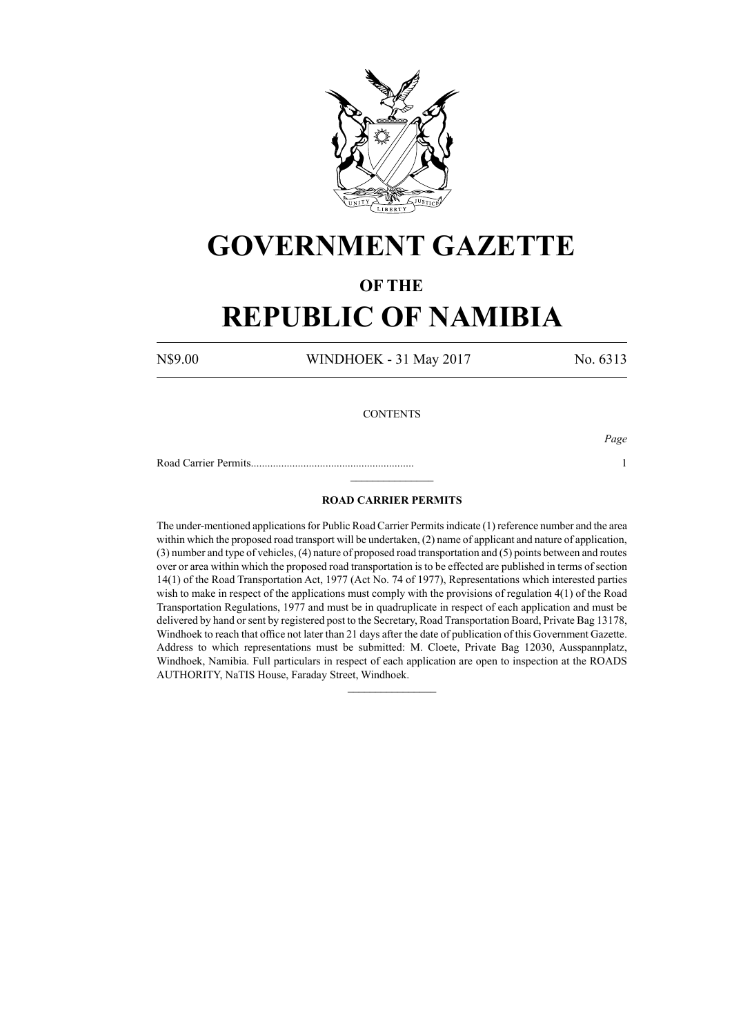

# **GOVERNMENT GAZETTE**

### **OF THE**

## **REPUBLIC OF NAMIBIA**

N\$9.00 WINDHOEK - 31 May 2017 No. 6313

### **CONTENTS**

Road Carrier Permits........................................................... 1

*Page*

#### **ROAD CARRIER PERMITS**

 $\frac{1}{2}$ 

The under-mentioned applications for Public Road Carrier Permits indicate (1) reference number and the area within which the proposed road transport will be undertaken, (2) name of applicant and nature of application, (3) number and type of vehicles, (4) nature of proposed road transportation and (5) points between and routes over or area within which the proposed road transportation is to be effected are published in terms of section 14(1) of the Road Transportation Act, 1977 (Act No. 74 of 1977), Representations which interested parties wish to make in respect of the applications must comply with the provisions of regulation 4(1) of the Road Transportation Regulations, 1977 and must be in quadruplicate in respect of each application and must be delivered by hand or sent by registered post to the Secretary, Road Transportation Board, Private Bag 13178, Windhoek to reach that office not later than 21 days after the date of publication of this Government Gazette. Address to which representations must be submitted: M. Cloete, Private Bag 12030, Ausspannplatz, Windhoek, Namibia. Full particulars in respect of each application are open to inspection at the ROADS AUTHORITY, NaTIS House, Faraday Street, Windhoek.

 $\frac{1}{2}$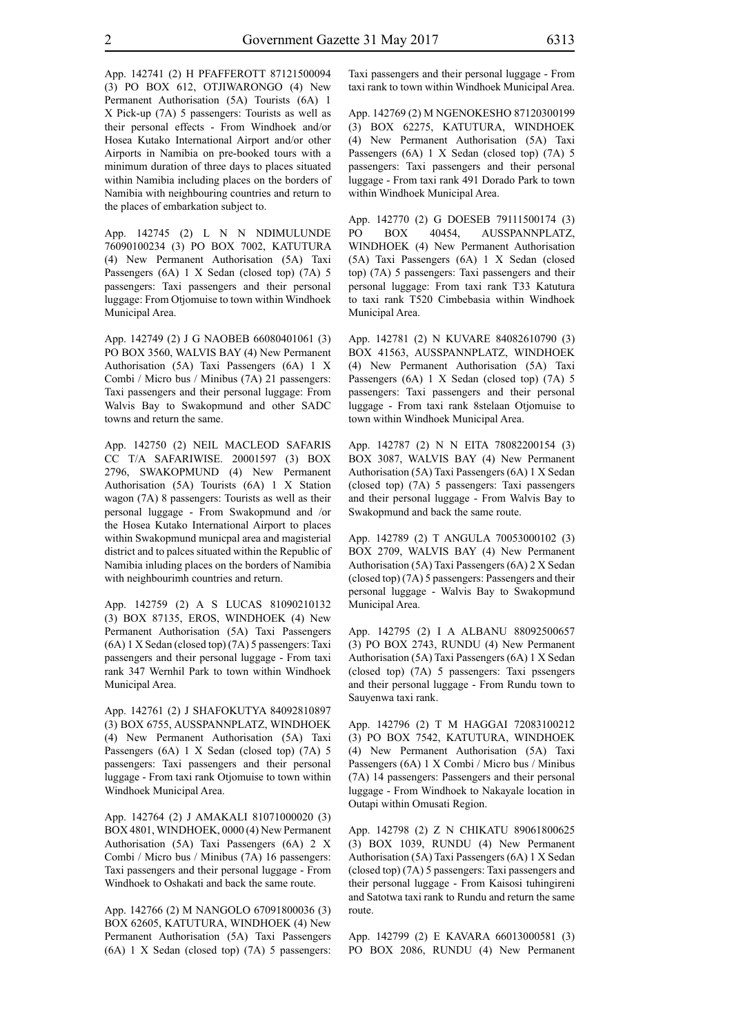App. 142741 (2) H PFAFFEROTT 87121500094 (3) PO BOX 612, OTJIWARONGO (4) New Permanent Authorisation (5A) Tourists (6A) 1 X Pick-up (7A) 5 passengers: Tourists as well as their personal effects - From Windhoek and/or Hosea Kutako International Airport and/or other Airports in Namibia on pre-booked tours with a minimum duration of three days to places situated within Namibia including places on the borders of Namibia with neighbouring countries and return to the places of embarkation subject to.

App. 142745 (2) L N N NDIMULUNDE 76090100234 (3) PO BOX 7002, KATUTURA (4) New Permanent Authorisation (5A) Taxi Passengers (6A) 1 X Sedan (closed top) (7A) 5 passengers: Taxi passengers and their personal luggage: From Otjomuise to town within Windhoek Municipal Area.

App. 142749 (2) J G NAOBEB 66080401061 (3) PO BOX 3560, WALVIS BAY (4) New Permanent Authorisation (5A) Taxi Passengers (6A) 1 X Combi / Micro bus / Minibus (7A) 21 passengers: Taxi passengers and their personal luggage: From Walvis Bay to Swakopmund and other SADC towns and return the same.

App. 142750 (2) NEIL MACLEOD SAFARIS CC T/A SAFARIWISE. 20001597 (3) BOX 2796, SWAKOPMUND (4) New Permanent Authorisation (5A) Tourists (6A) 1 X Station wagon (7A) 8 passengers: Tourists as well as their personal luggage - From Swakopmund and /or the Hosea Kutako International Airport to places within Swakopmund municpal area and magisterial district and to palces situated within the Republic of Namibia inluding places on the borders of Namibia with neighbourimh countries and return.

App. 142759 (2) A S LUCAS 81090210132 (3) BOX 87135, EROS, WINDHOEK (4) New Permanent Authorisation (5A) Taxi Passengers (6A) 1 X Sedan (closed top) (7A) 5 passengers: Taxi passengers and their personal luggage - From taxi rank 347 Wernhil Park to town within Windhoek Municipal Area.

App. 142761 (2) J SHAFOKUTYA 84092810897 (3) BOX 6755, AUSSPANNPLATZ, WINDHOEK (4) New Permanent Authorisation (5A) Taxi Passengers (6A) 1 X Sedan (closed top) (7A) 5 passengers: Taxi passengers and their personal luggage - From taxi rank Otjomuise to town within Windhoek Municipal Area.

App. 142764 (2) J AMAKALI 81071000020 (3) BOX 4801, WINDHOEK, 0000 (4) New Permanent Authorisation (5A) Taxi Passengers (6A) 2 X Combi / Micro bus / Minibus (7A) 16 passengers: Taxi passengers and their personal luggage - From Windhoek to Oshakati and back the same route.

App. 142766 (2) M NANGOLO 67091800036 (3) BOX 62605, KATUTURA, WINDHOEK (4) New Permanent Authorisation (5A) Taxi Passengers (6A) 1 X Sedan (closed top) (7A) 5 passengers: Taxi passengers and their personal luggage - From taxi rank to town within Windhoek Municipal Area.

App. 142769 (2) M NGENOKESHO 87120300199 (3) BOX 62275, KATUTURA, WINDHOEK (4) New Permanent Authorisation (5A) Taxi Passengers (6A) 1 X Sedan (closed top) (7A) 5 passengers: Taxi passengers and their personal luggage - From taxi rank 491 Dorado Park to town within Windhoek Municipal Area.

App. 142770 (2) G DOESEB 79111500174 (3) PO BOX 40454, AUSSPANNPLATZ, WINDHOEK (4) New Permanent Authorisation (5A) Taxi Passengers (6A) 1 X Sedan (closed top) (7A) 5 passengers: Taxi passengers and their personal luggage: From taxi rank T33 Katutura to taxi rank T520 Cimbebasia within Windhoek Municipal Area.

App. 142781 (2) N KUVARE 84082610790 (3) BOX 41563, AUSSPANNPLATZ, WINDHOEK (4) New Permanent Authorisation (5A) Taxi Passengers (6A) 1 X Sedan (closed top) (7A) 5 passengers: Taxi passengers and their personal luggage - From taxi rank 8stelaan Otjomuise to town within Windhoek Municipal Area.

App. 142787 (2) N N EITA 78082200154 (3) BOX 3087, WALVIS BAY (4) New Permanent Authorisation (5A) Taxi Passengers (6A) 1 X Sedan (closed top) (7A) 5 passengers: Taxi passengers and their personal luggage - From Walvis Bay to Swakopmund and back the same route.

App. 142789 (2) T ANGULA 70053000102 (3) BOX 2709, WALVIS BAY (4) New Permanent Authorisation (5A) Taxi Passengers (6A) 2 X Sedan (closed top) (7A) 5 passengers: Passengers and their personal luggage - Walvis Bay to Swakopmund Municipal Area.

App. 142795 (2) I A ALBANU 88092500657 (3) PO BOX 2743, RUNDU (4) New Permanent Authorisation (5A) Taxi Passengers (6A) 1 X Sedan (closed top) (7A) 5 passengers: Taxi pssengers and their personal luggage - From Rundu town to Sauyenwa taxi rank.

App. 142796 (2) T M HAGGAI 72083100212 (3) PO BOX 7542, KATUTURA, WINDHOEK (4) New Permanent Authorisation (5A) Taxi Passengers (6A) 1 X Combi / Micro bus / Minibus (7A) 14 passengers: Passengers and their personal luggage - From Windhoek to Nakayale location in Outapi within Omusati Region.

App. 142798 (2) Z N CHIKATU 89061800625 (3) BOX 1039, RUNDU (4) New Permanent Authorisation (5A) Taxi Passengers (6A) 1 X Sedan (closed top) (7A) 5 passengers: Taxi passengers and their personal luggage - From Kaisosi tuhingireni and Satotwa taxi rank to Rundu and return the same route.

App. 142799 (2) E KAVARA 66013000581 (3) PO BOX 2086, RUNDU (4) New Permanent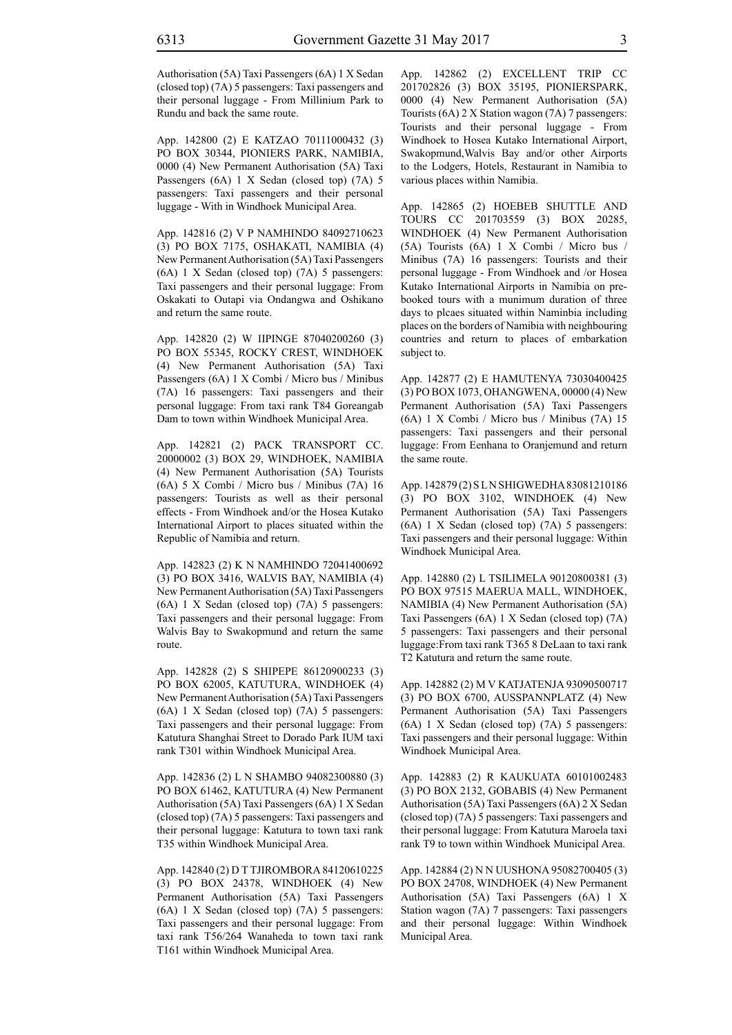Authorisation (5A) Taxi Passengers (6A) 1 X Sedan (closed top) (7A) 5 passengers: Taxi passengers and their personal luggage - From Millinium Park to Rundu and back the same route.

App. 142800 (2) E KATZAO 70111000432 (3) PO BOX 30344, PIONIERS PARK, NAMIBIA, 0000 (4) New Permanent Authorisation (5A) Taxi Passengers (6A) 1 X Sedan (closed top) (7A) 5 passengers: Taxi passengers and their personal luggage - With in Windhoek Municipal Area.

App. 142816 (2) V P NAMHINDO 84092710623 (3) PO BOX 7175, OSHAKATI, NAMIBIA (4) New Permanent Authorisation (5A) Taxi Passengers (6A) 1 X Sedan (closed top) (7A) 5 passengers: Taxi passengers and their personal luggage: From Oskakati to Outapi via Ondangwa and Oshikano and return the same route.

App. 142820 (2) W IIPINGE 87040200260 (3) PO BOX 55345, ROCKY CREST, WINDHOEK (4) New Permanent Authorisation (5A) Taxi Passengers (6A) 1 X Combi / Micro bus / Minibus (7A) 16 passengers: Taxi passengers and their personal luggage: From taxi rank T84 Goreangab Dam to town within Windhoek Municipal Area.

App. 142821 (2) PACK TRANSPORT CC. 20000002 (3) BOX 29, WINDHOEK, NAMIBIA (4) New Permanent Authorisation (5A) Tourists (6A) 5 X Combi / Micro bus / Minibus (7A) 16 passengers: Tourists as well as their personal effects - From Windhoek and/or the Hosea Kutako International Airport to places situated within the Republic of Namibia and return.

App. 142823 (2) K N NAMHINDO 72041400692 (3) PO BOX 3416, WALVIS BAY, NAMIBIA (4) New Permanent Authorisation (5A) Taxi Passengers (6A) 1 X Sedan (closed top) (7A) 5 passengers: Taxi passengers and their personal luggage: From Walvis Bay to Swakopmund and return the same route.

App. 142828 (2) S SHIPEPE 86120900233 (3) PO BOX 62005, KATUTURA, WINDHOEK (4) New Permanent Authorisation (5A) Taxi Passengers (6A) 1 X Sedan (closed top) (7A) 5 passengers: Taxi passengers and their personal luggage: From Katutura Shanghai Street to Dorado Park IUM taxi rank T301 within Windhoek Municipal Area.

App. 142836 (2) L N SHAMBO 94082300880 (3) PO BOX 61462, KATUTURA (4) New Permanent Authorisation (5A) Taxi Passengers (6A) 1 X Sedan (closed top) (7A) 5 passengers: Taxi passengers and their personal luggage: Katutura to town taxi rank T35 within Windhoek Municipal Area.

App. 142840 (2) D T TJIROMBORA 84120610225 (3) PO BOX 24378, WINDHOEK (4) New Permanent Authorisation (5A) Taxi Passengers (6A) 1 X Sedan (closed top) (7A) 5 passengers: Taxi passengers and their personal luggage: From taxi rank T56/264 Wanaheda to town taxi rank T161 within Windhoek Municipal Area.

App. 142862 (2) EXCELLENT TRIP CC 201702826 (3) BOX 35195, PIONIERSPARK, 0000 (4) New Permanent Authorisation (5A) Tourists (6A) 2 X Station wagon (7A) 7 passengers: Tourists and their personal luggage - From Windhoek to Hosea Kutako International Airport, Swakopmund,Walvis Bay and/or other Airports to the Lodgers, Hotels, Restaurant in Namibia to various places within Namibia.

App. 142865 (2) HOEBEB SHUTTLE AND TOURS CC 201703559 (3) BOX 20285, WINDHOEK (4) New Permanent Authorisation (5A) Tourists (6A) 1 X Combi / Micro bus / Minibus (7A) 16 passengers: Tourists and their personal luggage - From Windhoek and /or Hosea Kutako International Airports in Namibia on prebooked tours with a munimum duration of three days to plcaes situated within Naminbia including places on the borders of Namibia with neighbouring countries and return to places of embarkation subject to.

App. 142877 (2) E HAMUTENYA 73030400425 (3) PO BOX 1073, OHANGWENA, 00000 (4) New Permanent Authorisation (5A) Taxi Passengers (6A) 1 X Combi / Micro bus / Minibus (7A) 15 passengers: Taxi passengers and their personal luggage: From Eenhana to Oranjemund and return the same route.

App. 142879(2) SLN SHIGWEDHA 83081210186 (3) PO BOX 3102, WINDHOEK (4) New Permanent Authorisation (5A) Taxi Passengers (6A) 1 X Sedan (closed top) (7A) 5 passengers: Taxi passengers and their personal luggage: Within Windhoek Municipal Area.

App. 142880 (2) L TSILIMELA 90120800381 (3) PO BOX 97515 MAERUA MALL, WINDHOEK, NAMIBIA (4) New Permanent Authorisation (5A) Taxi Passengers (6A) 1 X Sedan (closed top) (7A) 5 passengers: Taxi passengers and their personal luggage:From taxi rank T365 8 DeLaan to taxi rank T2 Katutura and return the same route.

App. 142882 (2) M V KATJATENJA 93090500717 (3) PO BOX 6700, AUSSPANNPLATZ (4) New Permanent Authorisation (5A) Taxi Passengers (6A) 1 X Sedan (closed top) (7A) 5 passengers: Taxi passengers and their personal luggage: Within Windhoek Municipal Area.

App. 142883 (2) R KAUKUATA 60101002483 (3) PO BOX 2132, GOBABIS (4) New Permanent Authorisation (5A) Taxi Passengers (6A) 2 X Sedan (closed top) (7A) 5 passengers: Taxi passengers and their personal luggage: From Katutura Maroela taxi rank T9 to town within Windhoek Municipal Area.

App. 142884 (2) N N UUSHONA 95082700405 (3) PO BOX 24708, WINDHOEK (4) New Permanent Authorisation (5A) Taxi Passengers (6A) 1 X Station wagon (7A) 7 passengers: Taxi passengers and their personal luggage: Within Windhoek Municipal Area.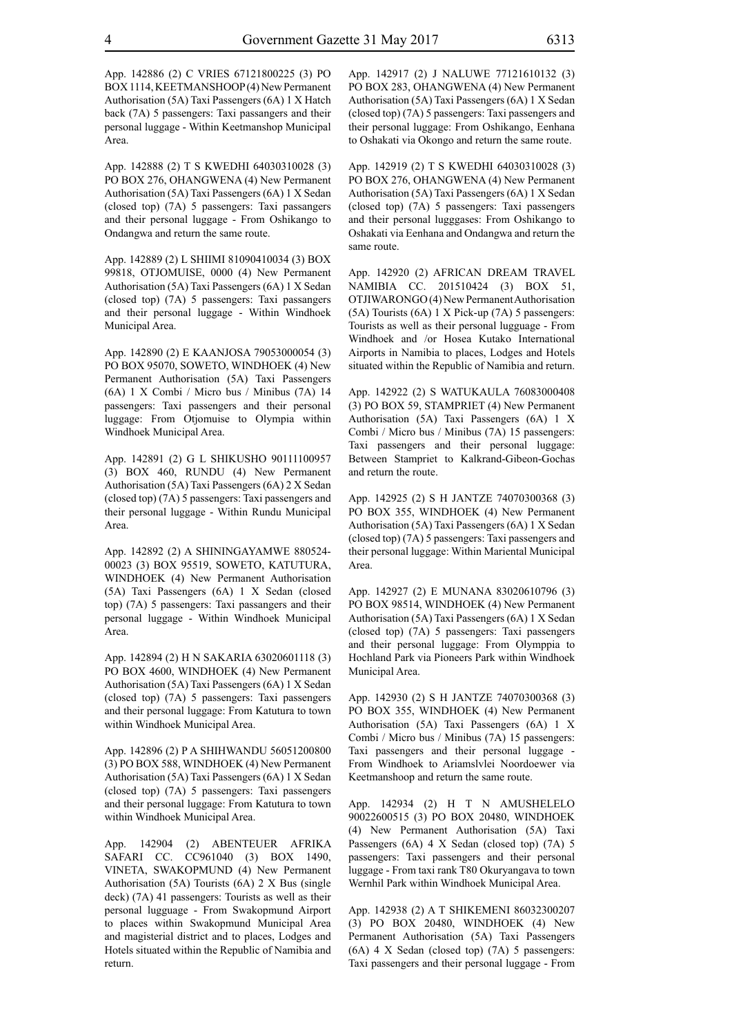App. 142886 (2) C VRIES 67121800225 (3) PO BOX 1114, KEETMANSHOOP (4) New Permanent Authorisation (5A) Taxi Passengers (6A) 1 X Hatch back (7A) 5 passengers: Taxi passangers and their personal luggage - Within Keetmanshop Municipal Area.

App. 142888 (2) T S KWEDHI 64030310028 (3) PO BOX 276, OHANGWENA (4) New Permanent Authorisation (5A) Taxi Passengers (6A) 1 X Sedan (closed top) (7A) 5 passengers: Taxi passangers and their personal luggage - From Oshikango to Ondangwa and return the same route.

App. 142889 (2) L SHIIMI 81090410034 (3) BOX 99818, OTJOMUISE, 0000 (4) New Permanent Authorisation (5A) Taxi Passengers (6A) 1 X Sedan (closed top) (7A) 5 passengers: Taxi passangers and their personal luggage - Within Windhoek Municipal Area.

App. 142890 (2) E KAANJOSA 79053000054 (3) PO BOX 95070, SOWETO, WINDHOEK (4) New Permanent Authorisation (5A) Taxi Passengers (6A) 1 X Combi / Micro bus / Minibus (7A) 14 passengers: Taxi passengers and their personal luggage: From Otjomuise to Olympia within Windhoek Municipal Area.

App. 142891 (2) G L SHIKUSHO 90111100957 (3) BOX 460, RUNDU (4) New Permanent Authorisation (5A) Taxi Passengers (6A) 2 X Sedan (closed top) (7A) 5 passengers: Taxi passengers and their personal luggage - Within Rundu Municipal Area.

App. 142892 (2) A SHININGAYAMWE 880524- 00023 (3) BOX 95519, SOWETO, KATUTURA, WINDHOEK (4) New Permanent Authorisation (5A) Taxi Passengers (6A) 1 X Sedan (closed top) (7A) 5 passengers: Taxi passangers and their personal luggage - Within Windhoek Municipal Area.

App. 142894 (2) H N SAKARIA 63020601118 (3) PO BOX 4600, WINDHOEK (4) New Permanent Authorisation (5A) Taxi Passengers (6A) 1 X Sedan (closed top) (7A) 5 passengers: Taxi passengers and their personal luggage: From Katutura to town within Windhoek Municipal Area.

App. 142896 (2) P A SHIHWANDU 56051200800 (3) PO BOX 588, WINDHOEK (4) New Permanent Authorisation (5A) Taxi Passengers (6A) 1 X Sedan (closed top) (7A) 5 passengers: Taxi passengers and their personal luggage: From Katutura to town within Windhoek Municipal Area.

App. 142904 (2) ABENTEUER AFRIKA SAFARI CC. CC961040 (3) BOX 1490, VINETA, SWAKOPMUND (4) New Permanent Authorisation (5A) Tourists (6A) 2 X Bus (single deck) (7A) 41 passengers: Tourists as well as their personal lugguage - From Swakopmund Airport to places within Swakopmund Municipal Area and magisterial district and to places, Lodges and Hotels situated within the Republic of Namibia and return.

App. 142917 (2) J NALUWE 77121610132 (3) PO BOX 283, OHANGWENA (4) New Permanent Authorisation (5A) Taxi Passengers (6A) 1 X Sedan (closed top) (7A) 5 passengers: Taxi passengers and their personal luggage: From Oshikango, Eenhana to Oshakati via Okongo and return the same route.

App. 142919 (2) T S KWEDHI 64030310028 (3) PO BOX 276, OHANGWENA (4) New Permanent Authorisation (5A) Taxi Passengers (6A) 1 X Sedan (closed top) (7A) 5 passengers: Taxi passengers and their personal lugggases: From Oshikango to Oshakati via Eenhana and Ondangwa and return the same route.

App. 142920 (2) AFRICAN DREAM TRAVEL NAMIBIA CC. 201510424 (3) BOX 51, OTJIWARONGO (4) New Permanent Authorisation (5A) Tourists (6A) 1 X Pick-up (7A) 5 passengers: Tourists as well as their personal lugguage - From Windhoek and /or Hosea Kutako International Airports in Namibia to places, Lodges and Hotels situated within the Republic of Namibia and return.

App. 142922 (2) S WATUKAULA 76083000408 (3) PO BOX 59, STAMPRIET (4) New Permanent Authorisation (5A) Taxi Passengers (6A) 1 X Combi / Micro bus / Minibus (7A) 15 passengers: Taxi passengers and their personal luggage: Between Stampriet to Kalkrand-Gibeon-Gochas and return the route.

App. 142925 (2) S H JANTZE 74070300368 (3) PO BOX 355, WINDHOEK (4) New Permanent Authorisation (5A) Taxi Passengers (6A) 1 X Sedan (closed top) (7A) 5 passengers: Taxi passengers and their personal luggage: Within Mariental Municipal Area.

App. 142927 (2) E MUNANA 83020610796 (3) PO BOX 98514, WINDHOEK (4) New Permanent Authorisation (5A) Taxi Passengers (6A) 1 X Sedan (closed top) (7A) 5 passengers: Taxi passengers and their personal luggage: From Olymppia to Hochland Park via Pioneers Park within Windhoek Municipal Area.

App. 142930 (2) S H JANTZE 74070300368 (3) PO BOX 355, WINDHOEK (4) New Permanent Authorisation (5A) Taxi Passengers (6A) 1 X Combi / Micro bus / Minibus (7A) 15 passengers: Taxi passengers and their personal luggage - From Windhoek to Ariamslvlei Noordoewer via Keetmanshoop and return the same route.

App. 142934 (2) H T N AMUSHELELO 90022600515 (3) PO BOX 20480, WINDHOEK (4) New Permanent Authorisation (5A) Taxi Passengers (6A) 4 X Sedan (closed top) (7A) 5 passengers: Taxi passengers and their personal luggage - From taxi rank T80 Okuryangava to town Wernhil Park within Windhoek Municipal Area.

App. 142938 (2) A T SHIKEMENI 86032300207 (3) PO BOX 20480, WINDHOEK (4) New Permanent Authorisation (5A) Taxi Passengers (6A) 4 X Sedan (closed top) (7A) 5 passengers: Taxi passengers and their personal luggage - From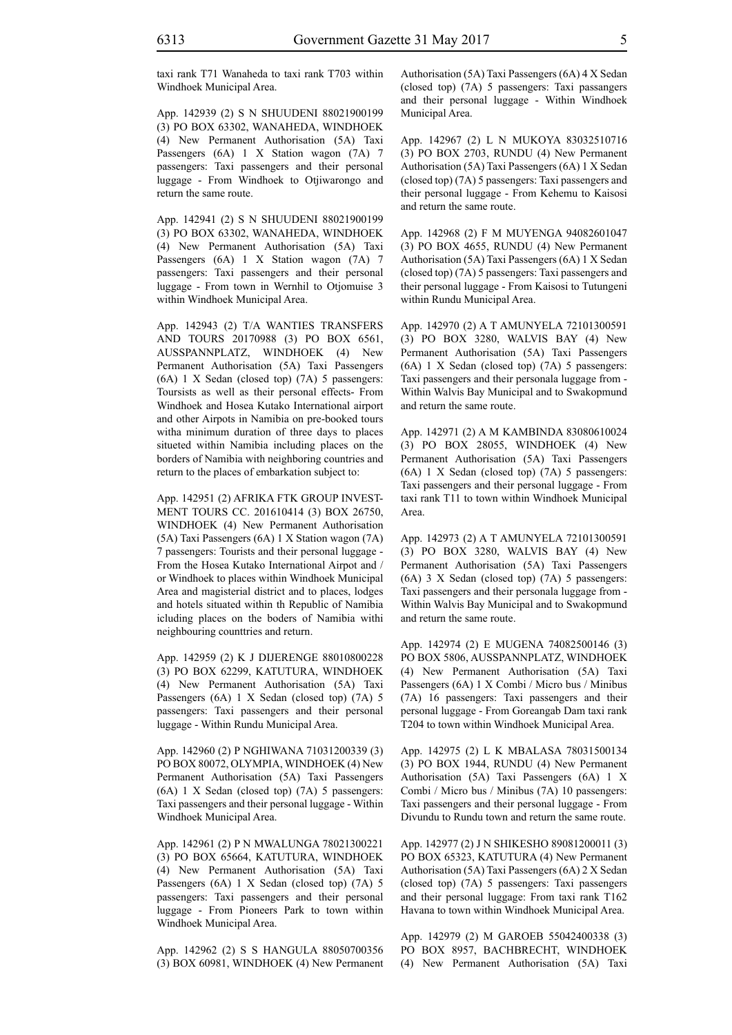taxi rank T71 Wanaheda to taxi rank T703 within Windhoek Municipal Area.

App. 142939 (2) S N SHUUDENI 88021900199 (3) PO BOX 63302, WANAHEDA, WINDHOEK (4) New Permanent Authorisation (5A) Taxi Passengers (6A) 1 X Station wagon (7A) 7 passengers: Taxi passengers and their personal luggage - From Windhoek to Otjiwarongo and return the same route.

App. 142941 (2) S N SHUUDENI 88021900199 (3) PO BOX 63302, WANAHEDA, WINDHOEK (4) New Permanent Authorisation (5A) Taxi Passengers (6A) 1 X Station wagon (7A) 7 passengers: Taxi passengers and their personal luggage - From town in Wernhil to Otjomuise 3 within Windhoek Municipal Area.

App. 142943 (2) T/A WANTIES TRANSFERS AND TOURS 20170988 (3) PO BOX 6561, AUSSPANNPLATZ, WINDHOEK (4) New Permanent Authorisation (5A) Taxi Passengers (6A) 1 X Sedan (closed top) (7A) 5 passengers: Toursists as well as their personal effects- From Windhoek and Hosea Kutako International airport and other Airpots in Namibia on pre-booked tours witha minimum duration of three days to places situeted within Namibia including places on the borders of Namibia with neighboring countries and return to the places of embarkation subject to:

App. 142951 (2) AFRIKA FTK GROUP INVEST-MENT TOURS CC. 201610414 (3) BOX 26750, WINDHOEK (4) New Permanent Authorisation (5A) Taxi Passengers (6A) 1 X Station wagon (7A) 7 passengers: Tourists and their personal luggage - From the Hosea Kutako International Airpot and / or Windhoek to places within Windhoek Municipal Area and magisterial district and to places, lodges and hotels situated within th Republic of Namibia icluding places on the boders of Namibia withi neighbouring counttries and return.

App. 142959 (2) K J DIJERENGE 88010800228 (3) PO BOX 62299, KATUTURA, WINDHOEK (4) New Permanent Authorisation (5A) Taxi Passengers (6A) 1 X Sedan (closed top) (7A) 5 passengers: Taxi passengers and their personal luggage - Within Rundu Municipal Area.

App. 142960 (2) P NGHIWANA 71031200339 (3) PO BOX 80072, OLYMPIA, WINDHOEK (4) New Permanent Authorisation (5A) Taxi Passengers (6A) 1 X Sedan (closed top) (7A) 5 passengers: Taxi passengers and their personal luggage - Within Windhoek Municipal Area.

App. 142961 (2) P N MWALUNGA 78021300221 (3) PO BOX 65664, KATUTURA, WINDHOEK (4) New Permanent Authorisation (5A) Taxi Passengers (6A) 1 X Sedan (closed top) (7A) 5 passengers: Taxi passengers and their personal luggage - From Pioneers Park to town within Windhoek Municipal Area.

App. 142962 (2) S S HANGULA 88050700356 (3) BOX 60981, WINDHOEK (4) New Permanent Authorisation (5A) Taxi Passengers (6A) 4 X Sedan (closed top) (7A) 5 passengers: Taxi passangers and their personal luggage - Within Windhoek Municipal Area.

App. 142967 (2) L N MUKOYA 83032510716 (3) PO BOX 2703, RUNDU (4) New Permanent Authorisation (5A) Taxi Passengers (6A) 1 X Sedan (closed top) (7A) 5 passengers: Taxi passengers and their personal luggage - From Kehemu to Kaisosi and return the same route.

App. 142968 (2) F M MUYENGA 94082601047 (3) PO BOX 4655, RUNDU (4) New Permanent Authorisation (5A) Taxi Passengers (6A) 1 X Sedan (closed top) (7A) 5 passengers: Taxi passengers and their personal luggage - From Kaisosi to Tutungeni within Rundu Municipal Area.

App. 142970 (2) A T AMUNYELA 72101300591 (3) PO BOX 3280, WALVIS BAY (4) New Permanent Authorisation (5A) Taxi Passengers (6A) 1 X Sedan (closed top) (7A) 5 passengers: Taxi passengers and their personala luggage from - Within Walvis Bay Municipal and to Swakopmund and return the same route.

App. 142971 (2) A M KAMBINDA 83080610024 (3) PO BOX 28055, WINDHOEK (4) New Permanent Authorisation (5A) Taxi Passengers (6A) 1 X Sedan (closed top) (7A) 5 passengers: Taxi passengers and their personal luggage - From taxi rank T11 to town within Windhoek Municipal Area.

App. 142973 (2) A T AMUNYELA 72101300591 (3) PO BOX 3280, WALVIS BAY (4) New Permanent Authorisation (5A) Taxi Passengers (6A) 3 X Sedan (closed top) (7A) 5 passengers: Taxi passengers and their personala luggage from - Within Walvis Bay Municipal and to Swakopmund and return the same route.

App. 142974 (2) E MUGENA 74082500146 (3) PO BOX 5806, AUSSPANNPLATZ, WINDHOEK (4) New Permanent Authorisation (5A) Taxi Passengers (6A) 1 X Combi / Micro bus / Minibus (7A) 16 passengers: Taxi passengers and their personal luggage - From Goreangab Dam taxi rank T204 to town within Windhoek Municipal Area.

App. 142975 (2) L K MBALASA 78031500134 (3) PO BOX 1944, RUNDU (4) New Permanent Authorisation (5A) Taxi Passengers (6A) 1 X Combi / Micro bus / Minibus (7A) 10 passengers: Taxi passengers and their personal luggage - From Divundu to Rundu town and return the same route.

App. 142977 (2) J N SHIKESHO 89081200011 (3) PO BOX 65323, KATUTURA (4) New Permanent Authorisation (5A) Taxi Passengers (6A) 2 X Sedan (closed top) (7A) 5 passengers: Taxi passengers and their personal luggage: From taxi rank T162 Havana to town within Windhoek Municipal Area.

App. 142979 (2) M GAROEB 55042400338 (3) PO BOX 8957, BACHBRECHT, WINDHOEK (4) New Permanent Authorisation (5A) Taxi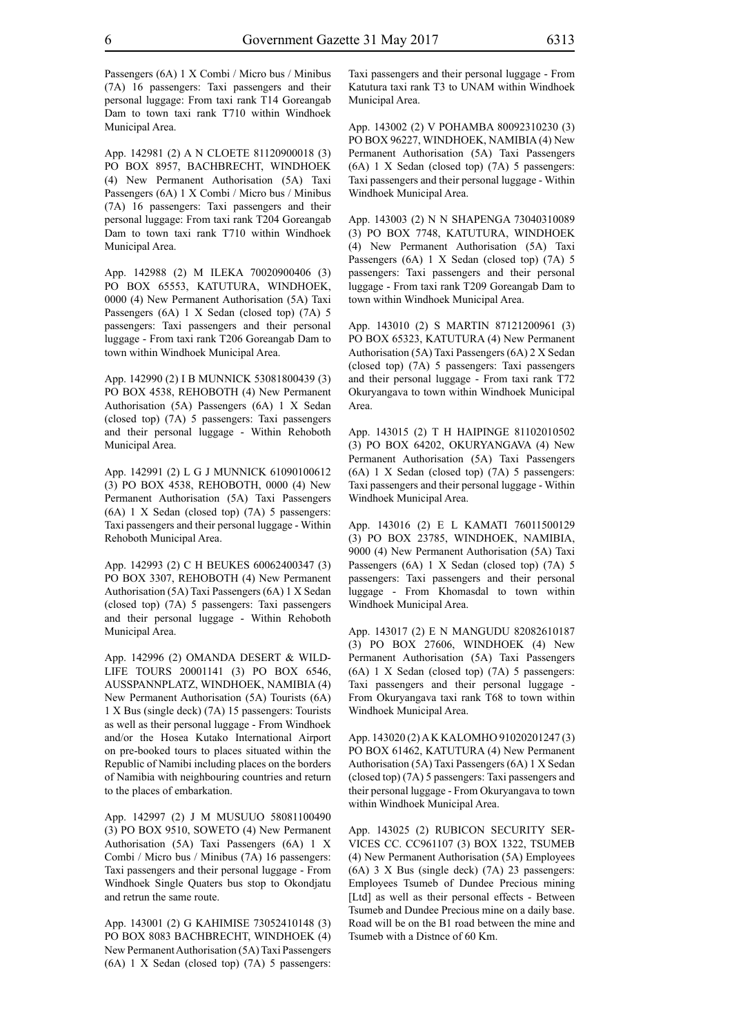Passengers (6A) 1 X Combi / Micro bus / Minibus (7A) 16 passengers: Taxi passengers and their personal luggage: From taxi rank T14 Goreangab Dam to town taxi rank T710 within Windhoek Municipal Area.

App. 142981 (2) A N CLOETE 81120900018 (3) PO BOX 8957, BACHBRECHT, WINDHOEK (4) New Permanent Authorisation (5A) Taxi Passengers (6A) 1 X Combi / Micro bus / Minibus (7A) 16 passengers: Taxi passengers and their personal luggage: From taxi rank T204 Goreangab Dam to town taxi rank T710 within Windhoek Municipal Area.

App. 142988 (2) M ILEKA 70020900406 (3) PO BOX 65553, KATUTURA, WINDHOEK, 0000 (4) New Permanent Authorisation (5A) Taxi Passengers (6A) 1 X Sedan (closed top) (7A) 5 passengers: Taxi passengers and their personal luggage - From taxi rank T206 Goreangab Dam to town within Windhoek Municipal Area.

App. 142990 (2) I B MUNNICK 53081800439 (3) PO BOX 4538, REHOBOTH (4) New Permanent Authorisation (5A) Passengers (6A) 1 X Sedan (closed top) (7A) 5 passengers: Taxi passengers and their personal luggage - Within Rehoboth Municipal Area.

App. 142991 (2) L G J MUNNICK 61090100612 (3) PO BOX 4538, REHOBOTH, 0000 (4) New Permanent Authorisation (5A) Taxi Passengers (6A) 1 X Sedan (closed top) (7A) 5 passengers: Taxi passengers and their personal luggage - Within Rehoboth Municipal Area.

App. 142993 (2) C H BEUKES 60062400347 (3) PO BOX 3307, REHOBOTH (4) New Permanent Authorisation (5A) Taxi Passengers (6A) 1 X Sedan (closed top) (7A) 5 passengers: Taxi passengers and their personal luggage - Within Rehoboth Municipal Area.

App. 142996 (2) OMANDA DESERT & WILD-LIFE TOURS 20001141 (3) PO BOX 6546, AUSSPANNPLATZ, WINDHOEK, NAMIBIA (4) New Permanent Authorisation (5A) Tourists (6A) 1 X Bus (single deck) (7A) 15 passengers: Tourists as well as their personal luggage - From Windhoek and/or the Hosea Kutako International Airport on pre-booked tours to places situated within the Republic of Namibi including places on the borders of Namibia with neighbouring countries and return to the places of embarkation.

App. 142997 (2) J M MUSUUO 58081100490 (3) PO BOX 9510, SOWETO (4) New Permanent Authorisation (5A) Taxi Passengers (6A) 1 X Combi / Micro bus / Minibus (7A) 16 passengers: Taxi passengers and their personal luggage - From Windhoek Single Quaters bus stop to Okondjatu and retrun the same route.

App. 143001 (2) G KAHIMISE 73052410148 (3) PO BOX 8083 BACHBRECHT, WINDHOEK (4) New Permanent Authorisation (5A) Taxi Passengers (6A) 1 X Sedan (closed top) (7A) 5 passengers: Taxi passengers and their personal luggage - From Katutura taxi rank T3 to UNAM within Windhoek Municipal Area.

App. 143002 (2) V POHAMBA 80092310230 (3) PO BOX 96227, WINDHOEK, NAMIBIA (4) New Permanent Authorisation (5A) Taxi Passengers (6A) 1 X Sedan (closed top) (7A) 5 passengers: Taxi passengers and their personal luggage - Within Windhoek Municipal Area.

App. 143003 (2) N N SHAPENGA 73040310089 (3) PO BOX 7748, KATUTURA, WINDHOEK (4) New Permanent Authorisation (5A) Taxi Passengers (6A) 1 X Sedan (closed top) (7A) 5 passengers: Taxi passengers and their personal luggage - From taxi rank T209 Goreangab Dam to town within Windhoek Municipal Area.

App. 143010 (2) S MARTIN 87121200961 (3) PO BOX 65323, KATUTURA (4) New Permanent Authorisation (5A) Taxi Passengers (6A) 2 X Sedan (closed top) (7A) 5 passengers: Taxi passengers and their personal luggage - From taxi rank T72 Okuryangava to town within Windhoek Municipal Area.

App. 143015 (2) T H HAIPINGE 81102010502 (3) PO BOX 64202, OKURYANGAVA (4) New Permanent Authorisation (5A) Taxi Passengers (6A) 1 X Sedan (closed top) (7A) 5 passengers: Taxi passengers and their personal luggage - Within Windhoek Municipal Area.

App. 143016 (2) E L KAMATI 76011500129 (3) PO BOX 23785, WINDHOEK, NAMIBIA, 9000 (4) New Permanent Authorisation (5A) Taxi Passengers (6A) 1 X Sedan (closed top) (7A) 5 passengers: Taxi passengers and their personal luggage - From Khomasdal to town within Windhoek Municipal Area.

App. 143017 (2) E N MANGUDU 82082610187 (3) PO BOX 27606, WINDHOEK (4) New Permanent Authorisation (5A) Taxi Passengers (6A) 1 X Sedan (closed top) (7A) 5 passengers: Taxi passengers and their personal luggage - From Okuryangava taxi rank T68 to town within Windhoek Municipal Area.

App. 143020 (2) A K KALOMHO 91020201247 (3) PO BOX 61462, KATUTURA (4) New Permanent Authorisation (5A) Taxi Passengers (6A) 1 X Sedan (closed top) (7A) 5 passengers: Taxi passengers and their personal luggage - From Okuryangava to town within Windhoek Municipal Area.

App. 143025 (2) RUBICON SECURITY SER-VICES CC. CC961107 (3) BOX 1322, TSUMEB (4) New Permanent Authorisation (5A) Employees (6A) 3 X Bus (single deck) (7A) 23 passengers: Employees Tsumeb of Dundee Precious mining [Ltd] as well as their personal effects - Between Tsumeb and Dundee Precious mine on a daily base. Road will be on the B1 road between the mine and Tsumeb with a Distnce of 60 Km.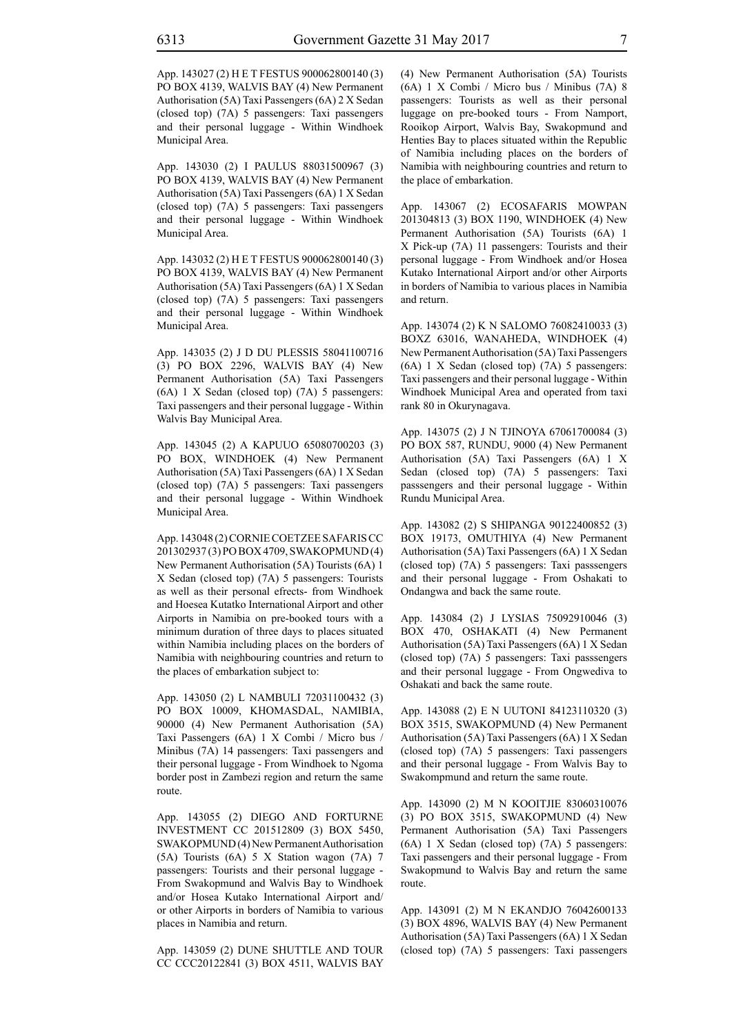App. 143027 (2) H E T FESTUS 900062800140 (3) PO BOX 4139, WALVIS BAY (4) New Permanent Authorisation (5A) Taxi Passengers (6A) 2 X Sedan (closed top) (7A) 5 passengers: Taxi passengers and their personal luggage - Within Windhoek Municipal Area.

App. 143030 (2) I PAULUS 88031500967 (3) PO BOX 4139, WALVIS BAY (4) New Permanent Authorisation (5A) Taxi Passengers (6A) 1 X Sedan (closed top) (7A) 5 passengers: Taxi passengers and their personal luggage - Within Windhoek Municipal Area.

App. 143032 (2) H E T FESTUS 900062800140 (3) PO BOX 4139, WALVIS BAY (4) New Permanent Authorisation (5A) Taxi Passengers (6A) 1 X Sedan (closed top) (7A) 5 passengers: Taxi passengers and their personal luggage - Within Windhoek Municipal Area.

App. 143035 (2) J D DU PLESSIS 58041100716 (3) PO BOX 2296, WALVIS BAY (4) New Permanent Authorisation (5A) Taxi Passengers (6A) 1 X Sedan (closed top) (7A) 5 passengers: Taxi passengers and their personal luggage - Within Walvis Bay Municipal Area.

App. 143045 (2) A KAPUUO 65080700203 (3) PO BOX, WINDHOEK (4) New Permanent Authorisation (5A) Taxi Passengers (6A) 1 X Sedan (closed top) (7A) 5 passengers: Taxi passengers and their personal luggage - Within Windhoek Municipal Area.

App. 143048 (2) CORNIE COETZEE SAFARIS CC 201302937 (3) PO BOX 4709, SWAKOPMUND (4) New Permanent Authorisation (5A) Tourists (6A) 1 X Sedan (closed top) (7A) 5 passengers: Tourists as well as their personal efrects- from Windhoek and Hoesea Kutatko International Airport and other Airports in Namibia on pre-booked tours with a minimum duration of three days to places situated within Namibia including places on the borders of Namibia with neighbouring countries and return to the places of embarkation subject to:

App. 143050 (2) L NAMBULI 72031100432 (3) PO BOX 10009, KHOMASDAL, NAMIBIA, 90000 (4) New Permanent Authorisation (5A) Taxi Passengers (6A) 1 X Combi / Micro bus / Minibus (7A) 14 passengers: Taxi passengers and their personal luggage - From Windhoek to Ngoma border post in Zambezi region and return the same route.

App. 143055 (2) DIEGO AND FORTURNE INVESTMENT CC 201512809 (3) BOX 5450, SWAKOPMUND (4) New Permanent Authorisation (5A) Tourists (6A) 5 X Station wagon (7A) 7 passengers: Tourists and their personal luggage - From Swakopmund and Walvis Bay to Windhoek and/or Hosea Kutako International Airport and/ or other Airports in borders of Namibia to various places in Namibia and return.

App. 143059 (2) DUNE SHUTTLE AND TOUR CC CCC20122841 (3) BOX 4511, WALVIS BAY (4) New Permanent Authorisation (5A) Tourists (6A) 1 X Combi / Micro bus / Minibus (7A) 8 passengers: Tourists as well as their personal luggage on pre-booked tours - From Namport, Rooikop Airport, Walvis Bay, Swakopmund and Henties Bay to places situated within the Republic of Namibia including places on the borders of Namibia with neighbouring countries and return to the place of embarkation.

App. 143067 (2) ECOSAFARIS MOWPAN 201304813 (3) BOX 1190, WINDHOEK (4) New Permanent Authorisation (5A) Tourists (6A) 1 X Pick-up (7A) 11 passengers: Tourists and their personal luggage - From Windhoek and/or Hosea Kutako International Airport and/or other Airports in borders of Namibia to various places in Namibia and return.

App. 143074 (2) K N SALOMO 76082410033 (3) BOXZ 63016, WANAHEDA, WINDHOEK (4) New Permanent Authorisation (5A) Taxi Passengers (6A) 1 X Sedan (closed top) (7A) 5 passengers: Taxi passengers and their personal luggage - Within Windhoek Municipal Area and operated from taxi rank 80 in Okurynagava.

App. 143075 (2) J N TJINOYA 67061700084 (3) PO BOX 587, RUNDU, 9000 (4) New Permanent Authorisation (5A) Taxi Passengers (6A) 1 X Sedan (closed top) (7A) 5 passengers: Taxi passsengers and their personal luggage - Within Rundu Municipal Area.

App. 143082 (2) S SHIPANGA 90122400852 (3) BOX 19173, OMUTHIYA (4) New Permanent Authorisation (5A) Taxi Passengers (6A) 1 X Sedan (closed top) (7A) 5 passengers: Taxi passsengers and their personal luggage - From Oshakati to Ondangwa and back the same route.

App. 143084 (2) J LYSIAS 75092910046 (3) BOX 470, OSHAKATI (4) New Permanent Authorisation (5A) Taxi Passengers (6A) 1 X Sedan (closed top) (7A) 5 passengers: Taxi passsengers and their personal luggage - From Ongwediva to Oshakati and back the same route.

App. 143088 (2) E N UUTONI 84123110320 (3) BOX 3515, SWAKOPMUND (4) New Permanent Authorisation (5A) Taxi Passengers (6A) 1 X Sedan (closed top) (7A) 5 passengers: Taxi passengers and their personal luggage - From Walvis Bay to Swakompmund and return the same route.

App. 143090 (2) M N KOOITJIE 83060310076 (3) PO BOX 3515, SWAKOPMUND (4) New Permanent Authorisation (5A) Taxi Passengers (6A) 1 X Sedan (closed top) (7A) 5 passengers: Taxi passengers and their personal luggage - From Swakopmund to Walvis Bay and return the same route.

App. 143091 (2) M N EKANDJO 76042600133 (3) BOX 4896, WALVIS BAY (4) New Permanent Authorisation (5A) Taxi Passengers (6A) 1 X Sedan (closed top) (7A) 5 passengers: Taxi passengers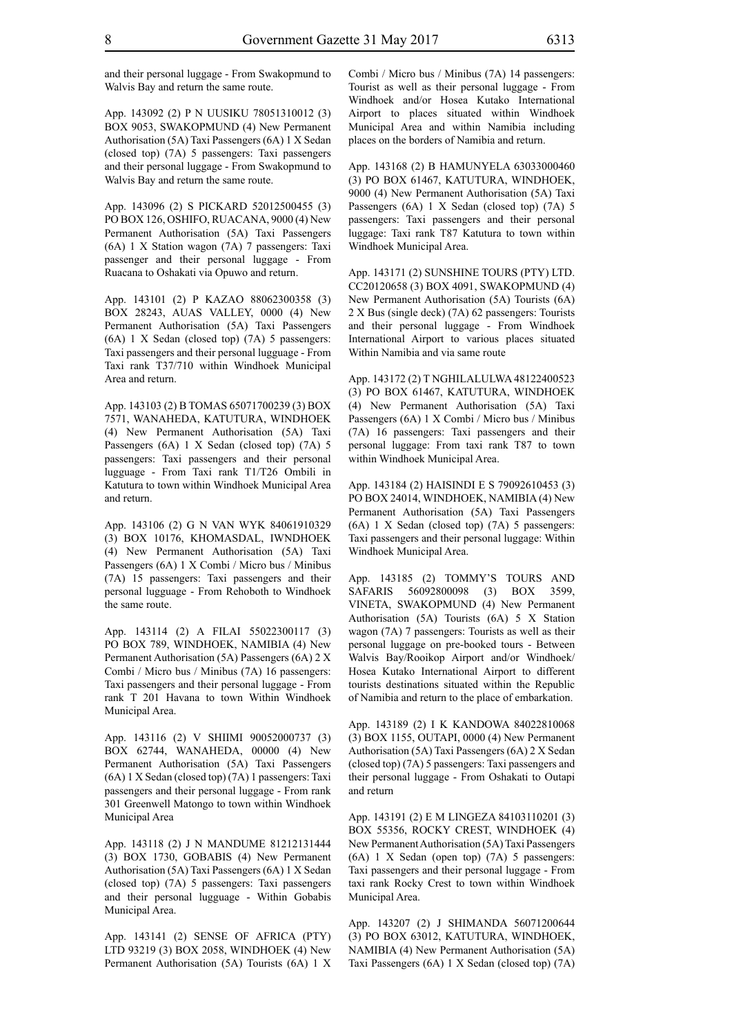and their personal luggage - From Swakopmund to Walvis Bay and return the same route.

App. 143092 (2) P N UUSIKU 78051310012 (3) BOX 9053, SWAKOPMUND (4) New Permanent Authorisation (5A) Taxi Passengers (6A) 1 X Sedan (closed top) (7A) 5 passengers: Taxi passengers and their personal luggage - From Swakopmund to Walvis Bay and return the same route.

App. 143096 (2) S PICKARD 52012500455 (3) PO BOX 126, OSHIFO, RUACANA, 9000 (4) New Permanent Authorisation (5A) Taxi Passengers (6A) 1 X Station wagon (7A) 7 passengers: Taxi passenger and their personal luggage - From Ruacana to Oshakati via Opuwo and return.

App. 143101 (2) P KAZAO 88062300358 (3) BOX 28243, AUAS VALLEY, 0000 (4) New Permanent Authorisation (5A) Taxi Passengers (6A) 1 X Sedan (closed top) (7A) 5 passengers: Taxi passengers and their personal lugguage - From Taxi rank T37/710 within Windhoek Municipal Area and return.

App. 143103 (2) B TOMAS 65071700239 (3) BOX 7571, WANAHEDA, KATUTURA, WINDHOEK (4) New Permanent Authorisation (5A) Taxi Passengers (6A) 1 X Sedan (closed top) (7A) 5 passengers: Taxi passengers and their personal lugguage - From Taxi rank T1/T26 Ombili in Katutura to town within Windhoek Municipal Area and return.

App. 143106 (2) G N VAN WYK 84061910329 (3) BOX 10176, KHOMASDAL, IWNDHOEK (4) New Permanent Authorisation (5A) Taxi Passengers (6A) 1 X Combi / Micro bus / Minibus (7A) 15 passengers: Taxi passengers and their personal lugguage - From Rehoboth to Windhoek the same route.

App. 143114 (2) A FILAI 55022300117 (3) PO BOX 789, WINDHOEK, NAMIBIA (4) New Permanent Authorisation (5A) Passengers (6A) 2 X Combi / Micro bus / Minibus (7A) 16 passengers: Taxi passengers and their personal luggage - From rank T 201 Havana to town Within Windhoek Municipal Area.

App. 143116 (2) V SHIIMI 90052000737 (3) BOX 62744, WANAHEDA, 00000 (4) New Permanent Authorisation (5A) Taxi Passengers (6A) 1 X Sedan (closed top) (7A) 1 passengers: Taxi passengers and their personal luggage - From rank 301 Greenwell Matongo to town within Windhoek Municipal Area

App. 143118 (2) J N MANDUME 81212131444 (3) BOX 1730, GOBABIS (4) New Permanent Authorisation (5A) Taxi Passengers (6A) 1 X Sedan (closed top) (7A) 5 passengers: Taxi passengers and their personal lugguage - Within Gobabis Municipal Area.

App. 143141 (2) SENSE OF AFRICA (PTY) LTD 93219 (3) BOX 2058, WINDHOEK (4) New Permanent Authorisation (5A) Tourists (6A) 1 X Combi / Micro bus / Minibus (7A) 14 passengers: Tourist as well as their personal luggage - From Windhoek and/or Hosea Kutako International Airport to places situated within Windhoek Municipal Area and within Namibia including places on the borders of Namibia and return.

App. 143168 (2) B HAMUNYELA 63033000460 (3) PO BOX 61467, KATUTURA, WINDHOEK, 9000 (4) New Permanent Authorisation (5A) Taxi Passengers (6A) 1 X Sedan (closed top) (7A) 5 passengers: Taxi passengers and their personal luggage: Taxi rank T87 Katutura to town within Windhoek Municipal Area.

App. 143171 (2) SUNSHINE TOURS (PTY) LTD. CC20120658 (3) BOX 4091, SWAKOPMUND (4) New Permanent Authorisation (5A) Tourists (6A) 2 X Bus (single deck) (7A) 62 passengers: Tourists and their personal luggage - From Windhoek International Airport to various places situated Within Namibia and via same route

App. 143172 (2) T NGHILALULWA 48122400523 (3) PO BOX 61467, KATUTURA, WINDHOEK (4) New Permanent Authorisation (5A) Taxi Passengers (6A) 1 X Combi / Micro bus / Minibus (7A) 16 passengers: Taxi passengers and their personal luggage: From taxi rank T87 to town within Windhoek Municipal Area.

App. 143184 (2) HAISINDI E S 79092610453 (3) PO BOX 24014, WINDHOEK, NAMIBIA (4) New Permanent Authorisation (5A) Taxi Passengers (6A) 1 X Sedan (closed top) (7A) 5 passengers: Taxi passengers and their personal luggage: Within Windhoek Municipal Area.

App. 143185 (2) TOMMY'S TOURS AND SAFARIS 56092800098 (3) BOX 3599, VINETA, SWAKOPMUND (4) New Permanent Authorisation (5A) Tourists (6A) 5 X Station wagon (7A) 7 passengers: Tourists as well as their personal luggage on pre-booked tours - Between Walvis Bay/Rooikop Airport and/or Windhoek/ Hosea Kutako International Airport to different tourists destinations situated within the Republic of Namibia and return to the place of embarkation.

App. 143189 (2) I K KANDOWA 84022810068 (3) BOX 1155, OUTAPI, 0000 (4) New Permanent Authorisation (5A) Taxi Passengers (6A) 2 X Sedan (closed top) (7A) 5 passengers: Taxi passengers and their personal luggage - From Oshakati to Outapi and return

App. 143191 (2) E M LINGEZA 84103110201 (3) BOX 55356, ROCKY CREST, WINDHOEK (4) New Permanent Authorisation (5A) Taxi Passengers (6A) 1 X Sedan (open top) (7A) 5 passengers: Taxi passengers and their personal luggage - From taxi rank Rocky Crest to town within Windhoek Municipal Area.

App. 143207 (2) J SHIMANDA 56071200644 (3) PO BOX 63012, KATUTURA, WINDHOEK, NAMIBIA (4) New Permanent Authorisation (5A) Taxi Passengers (6A) 1 X Sedan (closed top) (7A)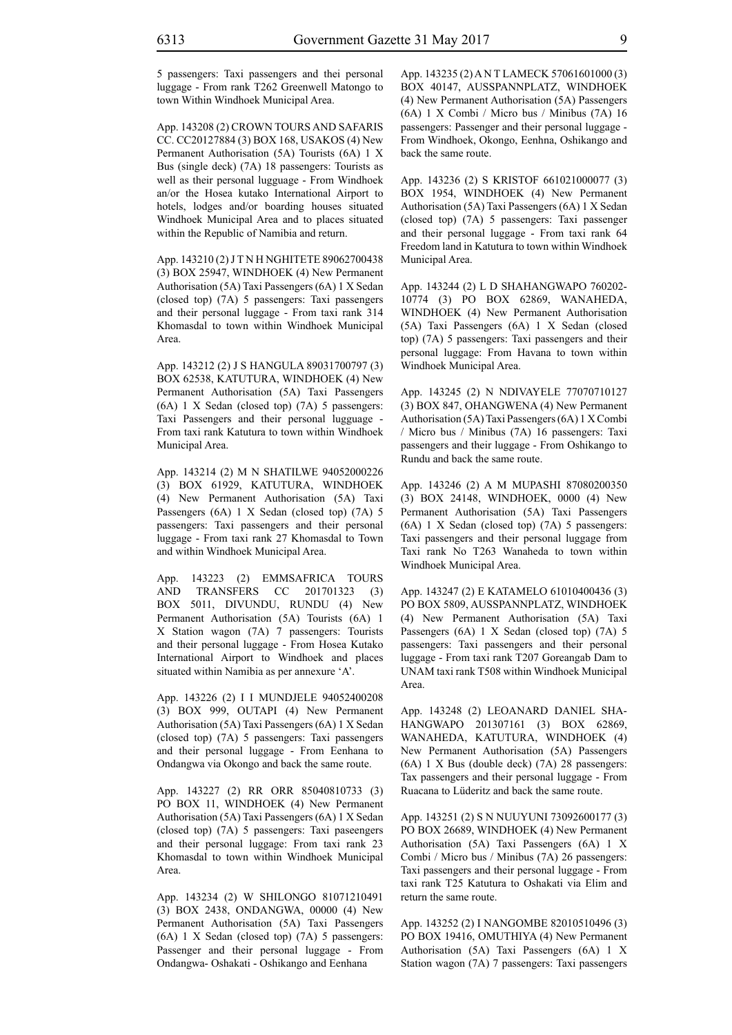5 passengers: Taxi passengers and thei personal luggage - From rank T262 Greenwell Matongo to town Within Windhoek Municipal Area.

App. 143208 (2) CROWN TOURS AND SAFARIS CC. CC20127884 (3) BOX 168, USAKOS (4) New Permanent Authorisation (5A) Tourists (6A) 1 X Bus (single deck) (7A) 18 passengers: Tourists as well as their personal lugguage - From Windhoek an/or the Hosea kutako International Airport to hotels, lodges and/or boarding houses situated Windhoek Municipal Area and to places situated within the Republic of Namibia and return.

App. 143210 (2) J T N H NGHITETE 89062700438 (3) BOX 25947, WINDHOEK (4) New Permanent Authorisation (5A) Taxi Passengers (6A) 1 X Sedan (closed top) (7A) 5 passengers: Taxi passengers and their personal luggage - From taxi rank 314 Khomasdal to town within Windhoek Municipal Area.

App. 143212 (2) J S HANGULA 89031700797 (3) BOX 62538, KATUTURA, WINDHOEK (4) New Permanent Authorisation (5A) Taxi Passengers (6A) 1 X Sedan (closed top) (7A) 5 passengers: Taxi Passengers and their personal lugguage - From taxi rank Katutura to town within Windhoek Municipal Area.

App. 143214 (2) M N SHATILWE 94052000226 (3) BOX 61929, KATUTURA, WINDHOEK (4) New Permanent Authorisation (5A) Taxi Passengers (6A) 1 X Sedan (closed top) (7A) 5 passengers: Taxi passengers and their personal luggage - From taxi rank 27 Khomasdal to Town and within Windhoek Municipal Area.

App. 143223 (2) EMMSAFRICA TOURS AND TRANSFERS CC 201701323 (3) BOX 5011, DIVUNDU, RUNDU (4) New Permanent Authorisation (5A) Tourists (6A) 1 X Station wagon (7A) 7 passengers: Tourists and their personal luggage - From Hosea Kutako International Airport to Windhoek and places situated within Namibia as per annexure 'A'.

App. 143226 (2) I I MUNDJELE 94052400208 (3) BOX 999, OUTAPI (4) New Permanent Authorisation (5A) Taxi Passengers (6A) 1 X Sedan (closed top) (7A) 5 passengers: Taxi passengers and their personal luggage - From Eenhana to Ondangwa via Okongo and back the same route.

App. 143227 (2) RR ORR 85040810733 (3) PO BOX 11, WINDHOEK (4) New Permanent Authorisation (5A) Taxi Passengers (6A) 1 X Sedan (closed top) (7A) 5 passengers: Taxi paseengers and their personal luggage: From taxi rank 23 Khomasdal to town within Windhoek Municipal Area.

App. 143234 (2) W SHILONGO 81071210491 (3) BOX 2438, ONDANGWA, 00000 (4) New Permanent Authorisation (5A) Taxi Passengers (6A) 1 X Sedan (closed top) (7A) 5 passengers: Passenger and their personal luggage - From Ondangwa- Oshakati - Oshikango and Eenhana

App. 143235 (2) A N T LAMECK 57061601000 (3) BOX 40147, AUSSPANNPLATZ, WINDHOEK (4) New Permanent Authorisation (5A) Passengers (6A) 1 X Combi / Micro bus / Minibus (7A) 16 passengers: Passenger and their personal luggage - From Windhoek, Okongo, Eenhna, Oshikango and back the same route.

App. 143236 (2) S KRISTOF 661021000077 (3) BOX 1954, WINDHOEK (4) New Permanent Authorisation (5A) Taxi Passengers (6A) 1 X Sedan (closed top) (7A) 5 passengers: Taxi passenger and their personal luggage - From taxi rank 64 Freedom land in Katutura to town within Windhoek Municipal Area.

App. 143244 (2) L D SHAHANGWAPO 760202- 10774 (3) PO BOX 62869, WANAHEDA, WINDHOEK (4) New Permanent Authorisation (5A) Taxi Passengers (6A) 1 X Sedan (closed top) (7A) 5 passengers: Taxi passengers and their personal luggage: From Havana to town within Windhoek Municipal Area.

App. 143245 (2) N NDIVAYELE 77070710127 (3) BOX 847, OHANGWENA (4) New Permanent Authorisation (5A) Taxi Passengers (6A) 1 X Combi / Micro bus / Minibus (7A) 16 passengers: Taxi passengers and their luggage - From Oshikango to Rundu and back the same route.

App. 143246 (2) A M MUPASHI 87080200350 (3) BOX 24148, WINDHOEK, 0000 (4) New Permanent Authorisation (5A) Taxi Passengers (6A) 1 X Sedan (closed top) (7A) 5 passengers: Taxi passengers and their personal luggage from Taxi rank No T263 Wanaheda to town within Windhoek Municipal Area.

App. 143247 (2) E KATAMELO 61010400436 (3) PO BOX 5809, AUSSPANNPLATZ, WINDHOEK (4) New Permanent Authorisation (5A) Taxi Passengers (6A) 1 X Sedan (closed top) (7A) 5 passengers: Taxi passengers and their personal luggage - From taxi rank T207 Goreangab Dam to UNAM taxi rank T508 within Windhoek Municipal Area.

App. 143248 (2) LEOANARD DANIEL SHA-HANGWAPO 201307161 (3) BOX 62869, WANAHEDA, KATUTURA, WINDHOEK (4) New Permanent Authorisation (5A) Passengers (6A) 1 X Bus (double deck) (7A) 28 passengers: Tax passengers and their personal luggage - From Ruacana to Lüderitz and back the same route.

App. 143251 (2) S N NUUYUNI 73092600177 (3) PO BOX 26689, WINDHOEK (4) New Permanent Authorisation (5A) Taxi Passengers (6A) 1 X Combi / Micro bus / Minibus (7A) 26 passengers: Taxi passengers and their personal luggage - From taxi rank T25 Katutura to Oshakati via Elim and return the same route.

App. 143252 (2) I NANGOMBE 82010510496 (3) PO BOX 19416, OMUTHIYA (4) New Permanent Authorisation (5A) Taxi Passengers (6A) 1 X Station wagon (7A) 7 passengers: Taxi passengers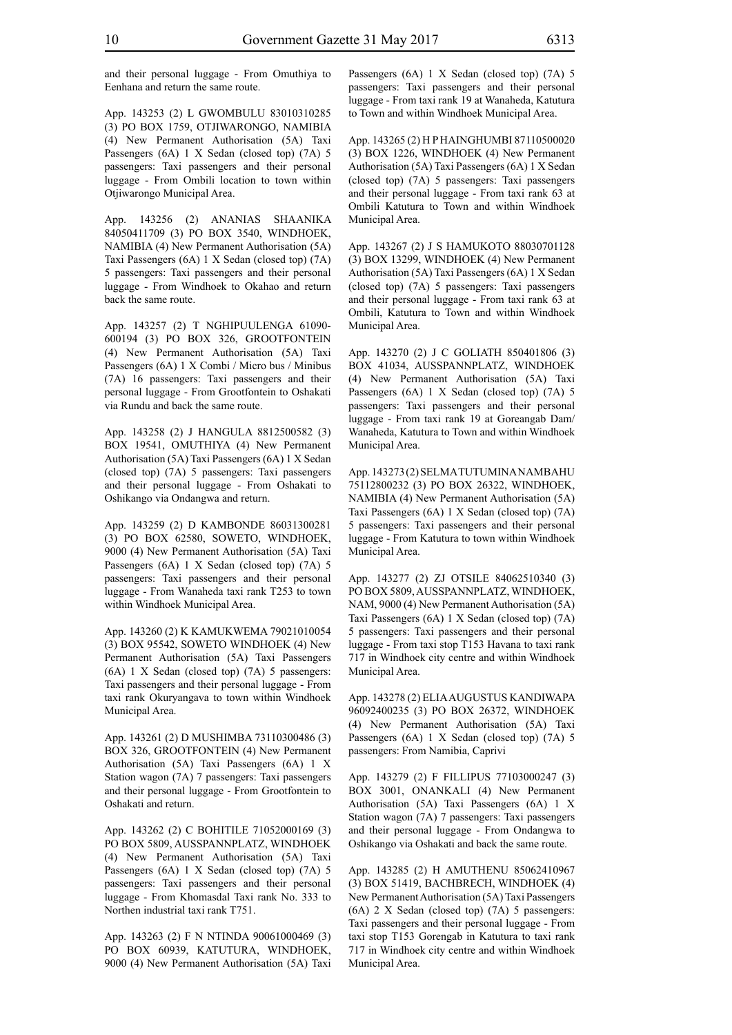and their personal luggage - From Omuthiya to Eenhana and return the same route.

App. 143253 (2) L GWOMBULU 83010310285 (3) PO BOX 1759, OTJIWARONGO, NAMIBIA (4) New Permanent Authorisation (5A) Taxi Passengers (6A) 1 X Sedan (closed top) (7A) 5 passengers: Taxi passengers and their personal luggage - From Ombili location to town within Otjiwarongo Municipal Area.

App. 143256 (2) ANANIAS SHAANIKA 84050411709 (3) PO BOX 3540, WINDHOEK, NAMIBIA (4) New Permanent Authorisation (5A) Taxi Passengers (6A) 1 X Sedan (closed top) (7A) 5 passengers: Taxi passengers and their personal luggage - From Windhoek to Okahao and return back the same route.

App. 143257 (2) T NGHIPUULENGA 61090- 600194 (3) PO BOX 326, GROOTFONTEIN (4) New Permanent Authorisation (5A) Taxi Passengers (6A) 1 X Combi / Micro bus / Minibus (7A) 16 passengers: Taxi passengers and their personal luggage - From Grootfontein to Oshakati via Rundu and back the same route.

App. 143258 (2) J HANGULA 8812500582 (3) BOX 19541, OMUTHIYA (4) New Permanent Authorisation (5A) Taxi Passengers (6A) 1 X Sedan (closed top) (7A) 5 passengers: Taxi passengers and their personal luggage - From Oshakati to Oshikango via Ondangwa and return.

App. 143259 (2) D KAMBONDE 86031300281 (3) PO BOX 62580, SOWETO, WINDHOEK, 9000 (4) New Permanent Authorisation (5A) Taxi Passengers (6A) 1 X Sedan (closed top) (7A) 5 passengers: Taxi passengers and their personal luggage - From Wanaheda taxi rank T253 to town within Windhoek Municipal Area.

App. 143260 (2) K KAMUKWEMA 79021010054 (3) BOX 95542, SOWETO WINDHOEK (4) New Permanent Authorisation (5A) Taxi Passengers (6A) 1 X Sedan (closed top) (7A) 5 passengers: Taxi passengers and their personal luggage - From taxi rank Okuryangava to town within Windhoek Municipal Area.

App. 143261 (2) D MUSHIMBA 73110300486 (3) BOX 326, GROOTFONTEIN (4) New Permanent Authorisation (5A) Taxi Passengers (6A) 1 X Station wagon (7A) 7 passengers: Taxi passengers and their personal luggage - From Grootfontein to Oshakati and return.

App. 143262 (2) C BOHITILE 71052000169 (3) PO BOX 5809, AUSSPANNPLATZ, WINDHOEK (4) New Permanent Authorisation (5A) Taxi Passengers (6A) 1 X Sedan (closed top) (7A) 5 passengers: Taxi passengers and their personal luggage - From Khomasdal Taxi rank No. 333 to Northen industrial taxi rank T751.

App. 143263 (2) F N NTINDA 90061000469 (3) PO BOX 60939, KATUTURA, WINDHOEK, 9000 (4) New Permanent Authorisation (5A) Taxi Passengers (6A) 1 X Sedan (closed top) (7A) 5 passengers: Taxi passengers and their personal luggage - From taxi rank 19 at Wanaheda, Katutura to Town and within Windhoek Municipal Area.

App. 143265 (2) H P HAINGHUMBI 87110500020 (3) BOX 1226, WINDHOEK (4) New Permanent Authorisation (5A) Taxi Passengers (6A) 1 X Sedan (closed top) (7A) 5 passengers: Taxi passengers and their personal luggage - From taxi rank 63 at Ombili Katutura to Town and within Windhoek Municipal Area.

App. 143267 (2) J S HAMUKOTO 88030701128 (3) BOX 13299, WINDHOEK (4) New Permanent Authorisation (5A) Taxi Passengers (6A) 1 X Sedan (closed top) (7A) 5 passengers: Taxi passengers and their personal luggage - From taxi rank 63 at Ombili, Katutura to Town and within Windhoek Municipal Area.

App. 143270 (2) J C GOLIATH 850401806 (3) BOX 41034, AUSSPANNPLATZ, WINDHOEK (4) New Permanent Authorisation (5A) Taxi Passengers (6A) 1 X Sedan (closed top) (7A) 5 passengers: Taxi passengers and their personal luggage - From taxi rank 19 at Goreangab Dam/ Wanaheda, Katutura to Town and within Windhoek Municipal Area.

App. 143273 (2) SELMA TUTUMINA NAMBAHU 75112800232 (3) PO BOX 26322, WINDHOEK, NAMIBIA (4) New Permanent Authorisation (5A) Taxi Passengers (6A) 1 X Sedan (closed top) (7A) 5 passengers: Taxi passengers and their personal luggage - From Katutura to town within Windhoek Municipal Area.

App. 143277 (2) ZJ OTSILE 84062510340 (3) PO BOX 5809, AUSSPANNPLATZ, WINDHOEK, NAM, 9000 (4) New Permanent Authorisation (5A) Taxi Passengers (6A) 1 X Sedan (closed top) (7A) 5 passengers: Taxi passengers and their personal luggage - From taxi stop T153 Havana to taxi rank 717 in Windhoek city centre and within Windhoek Municipal Area.

App. 143278 (2) ELIA AUGUSTUS KANDIWAPA 96092400235 (3) PO BOX 26372, WINDHOEK (4) New Permanent Authorisation (5A) Taxi Passengers (6A) 1 X Sedan (closed top) (7A) 5 passengers: From Namibia, Caprivi

App. 143279 (2) F FILLIPUS 77103000247 (3) BOX 3001, ONANKALI (4) New Permanent Authorisation (5A) Taxi Passengers (6A) 1 X Station wagon (7A) 7 passengers: Taxi passengers and their personal luggage - From Ondangwa to Oshikango via Oshakati and back the same route.

App. 143285 (2) H AMUTHENU 85062410967 (3) BOX 51419, BACHBRECH, WINDHOEK (4) New Permanent Authorisation (5A) Taxi Passengers (6A) 2 X Sedan (closed top) (7A) 5 passengers: Taxi passengers and their personal luggage - From taxi stop T153 Gorengab in Katutura to taxi rank 717 in Windhoek city centre and within Windhoek Municipal Area.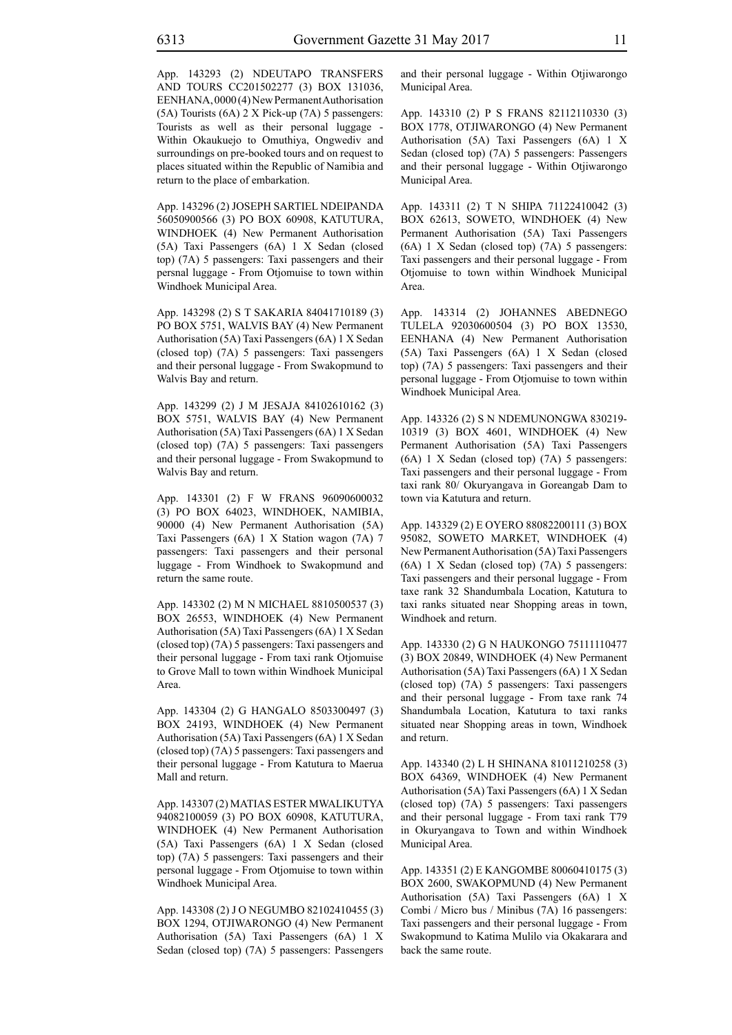App. 143293 (2) NDEUTAPO TRANSFERS AND TOURS CC201502277 (3) BOX 131036, EENHANA, 0000 (4) New Permanent Authorisation (5A) Tourists (6A) 2 X Pick-up (7A) 5 passengers: Tourists as well as their personal luggage - Within Okaukuejo to Omuthiya, Ongwediv and surroundings on pre-booked tours and on request to places situated within the Republic of Namibia and return to the place of embarkation.

App. 143296 (2) JOSEPH SARTIEL NDEIPANDA 56050900566 (3) PO BOX 60908, KATUTURA, WINDHOEK (4) New Permanent Authorisation (5A) Taxi Passengers (6A) 1 X Sedan (closed top) (7A) 5 passengers: Taxi passengers and their persnal luggage - From Otjomuise to town within Windhoek Municipal Area.

App. 143298 (2) S T SAKARIA 84041710189 (3) PO BOX 5751, WALVIS BAY (4) New Permanent Authorisation (5A) Taxi Passengers (6A) 1 X Sedan (closed top) (7A) 5 passengers: Taxi passengers and their personal luggage - From Swakopmund to Walvis Bay and return.

App. 143299 (2) J M JESAJA 84102610162 (3) BOX 5751, WALVIS BAY (4) New Permanent Authorisation (5A) Taxi Passengers (6A) 1 X Sedan (closed top) (7A) 5 passengers: Taxi passengers and their personal luggage - From Swakopmund to Walvis Bay and return.

App. 143301 (2) F W FRANS 96090600032 (3) PO BOX 64023, WINDHOEK, NAMIBIA, 90000 (4) New Permanent Authorisation (5A) Taxi Passengers (6A) 1 X Station wagon (7A) 7 passengers: Taxi passengers and their personal luggage - From Windhoek to Swakopmund and return the same route.

App. 143302 (2) M N MICHAEL 8810500537 (3) BOX 26553, WINDHOEK (4) New Permanent Authorisation (5A) Taxi Passengers (6A) 1 X Sedan (closed top) (7A) 5 passengers: Taxi passengers and their personal luggage - From taxi rank Otjomuise to Grove Mall to town within Windhoek Municipal Area.

App. 143304 (2) G HANGALO 8503300497 (3) BOX 24193, WINDHOEK (4) New Permanent Authorisation (5A) Taxi Passengers (6A) 1 X Sedan (closed top) (7A) 5 passengers: Taxi passengers and their personal luggage - From Katutura to Maerua Mall and return.

App. 143307 (2) MATIAS ESTER MWALIKUTYA 94082100059 (3) PO BOX 60908, KATUTURA, WINDHOEK (4) New Permanent Authorisation (5A) Taxi Passengers (6A) 1 X Sedan (closed top) (7A) 5 passengers: Taxi passengers and their personal luggage - From Otjomuise to town within Windhoek Municipal Area.

App. 143308 (2) J O NEGUMBO 82102410455 (3) BOX 1294, OTJIWARONGO (4) New Permanent Authorisation (5A) Taxi Passengers (6A) 1 X Sedan (closed top) (7A) 5 passengers: Passengers and their personal luggage - Within Otjiwarongo Municipal Area.

App. 143310 (2) P S FRANS 82112110330 (3) BOX 1778, OTJIWARONGO (4) New Permanent Authorisation (5A) Taxi Passengers (6A) 1 X Sedan (closed top) (7A) 5 passengers: Passengers and their personal luggage - Within Otjiwarongo Municipal Area.

App. 143311 (2) T N SHIPA 71122410042 (3) BOX 62613, SOWETO, WINDHOEK (4) New Permanent Authorisation (5A) Taxi Passengers (6A) 1 X Sedan (closed top) (7A) 5 passengers: Taxi passengers and their personal luggage - From Otjomuise to town within Windhoek Municipal Area.

App. 143314 (2) JOHANNES ABEDNEGO TULELA 92030600504 (3) PO BOX 13530, EENHANA (4) New Permanent Authorisation (5A) Taxi Passengers (6A) 1 X Sedan (closed top) (7A) 5 passengers: Taxi passengers and their personal luggage - From Otjomuise to town within Windhoek Municipal Area.

App. 143326 (2) S N NDEMUNONGWA 830219- 10319 (3) BOX 4601, WINDHOEK (4) New Permanent Authorisation (5A) Taxi Passengers (6A) 1 X Sedan (closed top) (7A) 5 passengers: Taxi passengers and their personal luggage - From taxi rank 80/ Okuryangava in Goreangab Dam to town via Katutura and return.

App. 143329 (2) E OYERO 88082200111 (3) BOX 95082, SOWETO MARKET, WINDHOEK (4) New Permanent Authorisation (5A) Taxi Passengers (6A) 1 X Sedan (closed top) (7A) 5 passengers: Taxi passengers and their personal luggage - From taxe rank 32 Shandumbala Location, Katutura to taxi ranks situated near Shopping areas in town, Windhoek and return.

App. 143330 (2) G N HAUKONGO 75111110477 (3) BOX 20849, WINDHOEK (4) New Permanent Authorisation (5A) Taxi Passengers (6A) 1 X Sedan (closed top) (7A) 5 passengers: Taxi passengers and their personal luggage - From taxe rank 74 Shandumbala Location, Katutura to taxi ranks situated near Shopping areas in town, Windhoek and return.

App. 143340 (2) L H SHINANA 81011210258 (3) BOX 64369, WINDHOEK (4) New Permanent Authorisation (5A) Taxi Passengers (6A) 1 X Sedan (closed top) (7A) 5 passengers: Taxi passengers and their personal luggage - From taxi rank T79 in Okuryangava to Town and within Windhoek Municipal Area.

App. 143351 (2) E KANGOMBE 80060410175 (3) BOX 2600, SWAKOPMUND (4) New Permanent Authorisation (5A) Taxi Passengers (6A) 1 X Combi / Micro bus / Minibus (7A) 16 passengers: Taxi passengers and their personal luggage - From Swakopmund to Katima Mulilo via Okakarara and back the same route.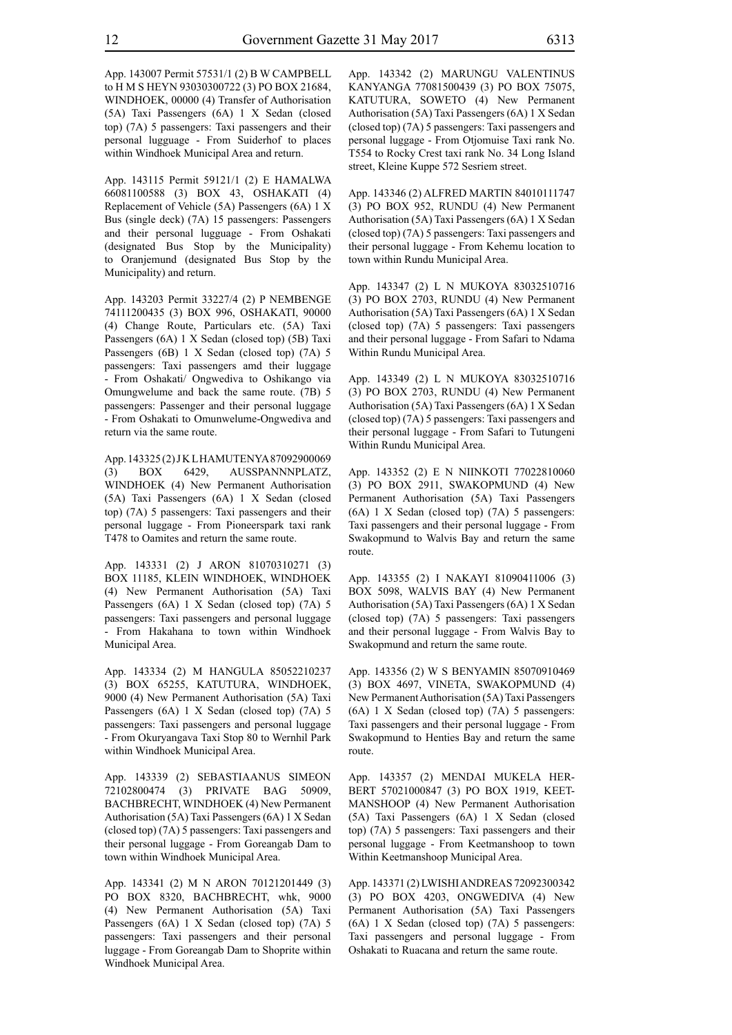App. 143007 Permit 57531/1 (2) B W CAMPBELL to H M S HEYN 93030300722 (3) PO BOX 21684, WINDHOEK, 00000 (4) Transfer of Authorisation (5A) Taxi Passengers (6A) 1 X Sedan (closed top) (7A) 5 passengers: Taxi passengers and their personal lugguage - From Suiderhof to places within Windhoek Municipal Area and return.

App. 143115 Permit 59121/1 (2) E HAMALWA 66081100588 (3) BOX 43, OSHAKATI (4) Replacement of Vehicle (5A) Passengers (6A) 1 X Bus (single deck) (7A) 15 passengers: Passengers and their personal lugguage - From Oshakati (designated Bus Stop by the Municipality) to Oranjemund (designated Bus Stop by the Municipality) and return.

App. 143203 Permit 33227/4 (2) P NEMBENGE 74111200435 (3) BOX 996, OSHAKATI, 90000 (4) Change Route, Particulars etc. (5A) Taxi Passengers (6A) 1 X Sedan (closed top) (5B) Taxi Passengers (6B) 1 X Sedan (closed top) (7A) 5 passengers: Taxi passengers amd their luggage - From Oshakati/ Ongwediva to Oshikango via Omungwelume and back the same route. (7B) 5 passengers: Passenger and their personal luggage - From Oshakati to Omunwelume-Ongwediva and return via the same route.

App. 143325 (2) J K L HAMUTENYA 87092900069 (3) BOX 6429, AUSSPANNNPLATZ, WINDHOEK (4) New Permanent Authorisation (5A) Taxi Passengers (6A) 1 X Sedan (closed top) (7A) 5 passengers: Taxi passengers and their personal luggage - From Pioneerspark taxi rank T478 to Oamites and return the same route.

App. 143331 (2) J ARON 81070310271 (3) BOX 11185, KLEIN WINDHOEK, WINDHOEK (4) New Permanent Authorisation (5A) Taxi Passengers (6A) 1 X Sedan (closed top) (7A) 5 passengers: Taxi passengers and personal luggage - From Hakahana to town within Windhoek Municipal Area.

App. 143334 (2) M HANGULA 85052210237 (3) BOX 65255, KATUTURA, WINDHOEK, 9000 (4) New Permanent Authorisation (5A) Taxi Passengers (6A) 1 X Sedan (closed top) (7A) 5 passengers: Taxi passengers and personal luggage - From Okuryangava Taxi Stop 80 to Wernhil Park within Windhoek Municipal Area.

App. 143339 (2) SEBASTIAANUS SIMEON 72102800474 (3) PRIVATE BAG 50909, BACHBRECHT, WINDHOEK (4) New Permanent Authorisation (5A) Taxi Passengers (6A) 1 X Sedan (closed top) (7A) 5 passengers: Taxi passengers and their personal luggage - From Goreangab Dam to town within Windhoek Municipal Area.

App. 143341 (2) M N ARON 70121201449 (3) PO BOX 8320, BACHBRECHT, whk, 9000 (4) New Permanent Authorisation (5A) Taxi Passengers (6A) 1 X Sedan (closed top) (7A) 5 passengers: Taxi passengers and their personal luggage - From Goreangab Dam to Shoprite within Windhoek Municipal Area.

App. 143342 (2) MARUNGU VALENTINUS KANYANGA 77081500439 (3) PO BOX 75075, KATUTURA, SOWETO (4) New Permanent Authorisation (5A) Taxi Passengers (6A) 1 X Sedan (closed top) (7A) 5 passengers: Taxi passengers and personal luggage - From Otjomuise Taxi rank No. T554 to Rocky Crest taxi rank No. 34 Long Island street, Kleine Kuppe 572 Sesriem street.

App. 143346 (2) ALFRED MARTIN 84010111747 (3) PO BOX 952, RUNDU (4) New Permanent Authorisation (5A) Taxi Passengers (6A) 1 X Sedan (closed top) (7A) 5 passengers: Taxi passengers and their personal luggage - From Kehemu location to town within Rundu Municipal Area.

App. 143347 (2) L N MUKOYA 83032510716 (3) PO BOX 2703, RUNDU (4) New Permanent Authorisation (5A) Taxi Passengers (6A) 1 X Sedan (closed top) (7A) 5 passengers: Taxi passengers and their personal luggage - From Safari to Ndama Within Rundu Municipal Area.

App. 143349 (2) L N MUKOYA 83032510716 (3) PO BOX 2703, RUNDU (4) New Permanent Authorisation (5A) Taxi Passengers (6A) 1 X Sedan (closed top) (7A) 5 passengers: Taxi passengers and their personal luggage - From Safari to Tutungeni Within Rundu Municipal Area.

App. 143352 (2) E N NIINKOTI 77022810060 (3) PO BOX 2911, SWAKOPMUND (4) New Permanent Authorisation (5A) Taxi Passengers (6A) 1 X Sedan (closed top) (7A) 5 passengers: Taxi passengers and their personal luggage - From Swakopmund to Walvis Bay and return the same route.

App. 143355 (2) I NAKAYI 81090411006 (3) BOX 5098, WALVIS BAY (4) New Permanent Authorisation (5A) Taxi Passengers (6A) 1 X Sedan (closed top) (7A) 5 passengers: Taxi passengers and their personal luggage - From Walvis Bay to Swakopmund and return the same route.

App. 143356 (2) W S BENYAMIN 85070910469 (3) BOX 4697, VINETA, SWAKOPMUND (4) New Permanent Authorisation (5A) Taxi Passengers (6A) 1 X Sedan (closed top) (7A) 5 passengers: Taxi passengers and their personal luggage - From Swakopmund to Henties Bay and return the same route.

App. 143357 (2) MENDAI MUKELA HER-BERT 57021000847 (3) PO BOX 1919, KEET-MANSHOOP (4) New Permanent Authorisation (5A) Taxi Passengers (6A) 1 X Sedan (closed top) (7A) 5 passengers: Taxi passengers and their personal luggage - From Keetmanshoop to town Within Keetmanshoop Municipal Area.

App. 143371 (2) LWISHI ANDREAS 72092300342 (3) PO BOX 4203, ONGWEDIVA (4) New Permanent Authorisation (5A) Taxi Passengers (6A) 1 X Sedan (closed top) (7A) 5 passengers: Taxi passengers and personal luggage - From Oshakati to Ruacana and return the same route.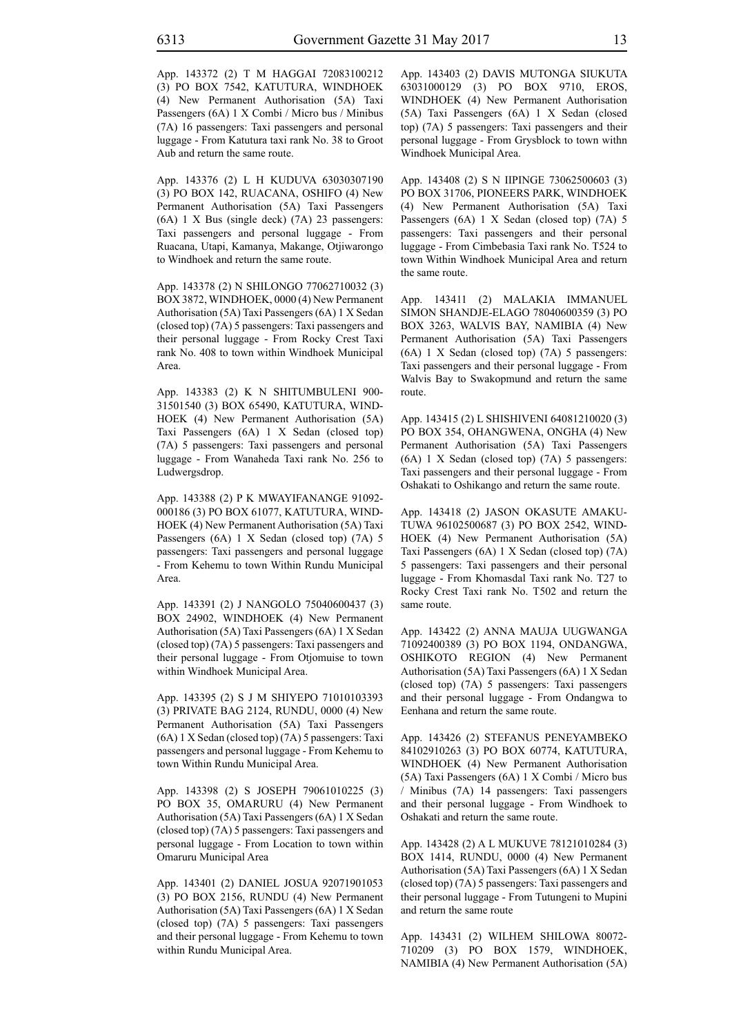App. 143372 (2) T M HAGGAI 72083100212 (3) PO BOX 7542, KATUTURA, WINDHOEK (4) New Permanent Authorisation (5A) Taxi Passengers (6A) 1 X Combi / Micro bus / Minibus (7A) 16 passengers: Taxi passengers and personal luggage - From Katutura taxi rank No. 38 to Groot Aub and return the same route.

App. 143376 (2) L H KUDUVA 63030307190 (3) PO BOX 142, RUACANA, OSHIFO (4) New Permanent Authorisation (5A) Taxi Passengers (6A) 1 X Bus (single deck) (7A) 23 passengers: Taxi passengers and personal luggage - From Ruacana, Utapi, Kamanya, Makange, Otjiwarongo to Windhoek and return the same route.

App. 143378 (2) N SHILONGO 77062710032 (3) BOX 3872, WINDHOEK, 0000 (4) New Permanent Authorisation (5A) Taxi Passengers (6A) 1 X Sedan (closed top) (7A) 5 passengers: Taxi passengers and their personal luggage - From Rocky Crest Taxi rank No. 408 to town within Windhoek Municipal Area.

App. 143383 (2) K N SHITUMBULENI 900- 31501540 (3) BOX 65490, KATUTURA, WIND-HOEK (4) New Permanent Authorisation (5A) Taxi Passengers (6A) 1 X Sedan (closed top) (7A) 5 passengers: Taxi passengers and personal luggage - From Wanaheda Taxi rank No. 256 to Ludwergsdrop.

App. 143388 (2) P K MWAYIFANANGE 91092- 000186 (3) PO BOX 61077, KATUTURA, WIND-HOEK (4) New Permanent Authorisation (5A) Taxi Passengers (6A) 1 X Sedan (closed top) (7A) 5 passengers: Taxi passengers and personal luggage - From Kehemu to town Within Rundu Municipal Area.

App. 143391 (2) J NANGOLO 75040600437 (3) BOX 24902, WINDHOEK (4) New Permanent Authorisation (5A) Taxi Passengers (6A) 1 X Sedan (closed top) (7A) 5 passengers: Taxi passengers and their personal luggage - From Otjomuise to town within Windhoek Municipal Area.

App. 143395 (2) S J M SHIYEPO 71010103393 (3) PRIVATE BAG 2124, RUNDU, 0000 (4) New Permanent Authorisation (5A) Taxi Passengers (6A) 1 X Sedan (closed top) (7A) 5 passengers: Taxi passengers and personal luggage - From Kehemu to town Within Rundu Municipal Area.

App. 143398 (2) S JOSEPH 79061010225 (3) PO BOX 35, OMARURU (4) New Permanent Authorisation (5A) Taxi Passengers (6A) 1 X Sedan (closed top) (7A) 5 passengers: Taxi passengers and personal luggage - From Location to town within Omaruru Municipal Area

App. 143401 (2) DANIEL JOSUA 92071901053 (3) PO BOX 2156, RUNDU (4) New Permanent Authorisation (5A) Taxi Passengers (6A) 1 X Sedan (closed top) (7A) 5 passengers: Taxi passengers and their personal luggage - From Kehemu to town within Rundu Municipal Area.

App. 143403 (2) DAVIS MUTONGA SIUKUTA 63031000129 (3) PO BOX 9710, EROS, WINDHOEK (4) New Permanent Authorisation (5A) Taxi Passengers (6A) 1 X Sedan (closed top) (7A) 5 passengers: Taxi passengers and their personal luggage - From Grysblock to town withn Windhoek Municipal Area.

App. 143408 (2) S N IIPINGE 73062500603 (3) PO BOX 31706, PIONEERS PARK, WINDHOEK (4) New Permanent Authorisation (5A) Taxi Passengers (6A) 1 X Sedan (closed top) (7A) 5 passengers: Taxi passengers and their personal luggage - From Cimbebasia Taxi rank No. T524 to town Within Windhoek Municipal Area and return the same route.

App. 143411 (2) MALAKIA IMMANUEL SIMON SHANDJE-ELAGO 78040600359 (3) PO BOX 3263, WALVIS BAY, NAMIBIA (4) New Permanent Authorisation (5A) Taxi Passengers (6A) 1 X Sedan (closed top) (7A) 5 passengers: Taxi passengers and their personal luggage - From Walvis Bay to Swakopmund and return the same route.

App. 143415 (2) L SHISHIVENI 64081210020 (3) PO BOX 354, OHANGWENA, ONGHA (4) New Permanent Authorisation (5A) Taxi Passengers (6A) 1 X Sedan (closed top) (7A) 5 passengers: Taxi passengers and their personal luggage - From Oshakati to Oshikango and return the same route.

App. 143418 (2) JASON OKASUTE AMAKU-TUWA 96102500687 (3) PO BOX 2542, WIND-HOEK (4) New Permanent Authorisation (5A) Taxi Passengers (6A) 1 X Sedan (closed top) (7A) 5 passengers: Taxi passengers and their personal luggage - From Khomasdal Taxi rank No. T27 to Rocky Crest Taxi rank No. T502 and return the same route.

App. 143422 (2) ANNA MAUJA UUGWANGA 71092400389 (3) PO BOX 1194, ONDANGWA, OSHIKOTO REGION (4) New Permanent Authorisation (5A) Taxi Passengers (6A) 1 X Sedan (closed top) (7A) 5 passengers: Taxi passengers and their personal luggage - From Ondangwa to Eenhana and return the same route.

App. 143426 (2) STEFANUS PENEYAMBEKO 84102910263 (3) PO BOX 60774, KATUTURA, WINDHOEK (4) New Permanent Authorisation (5A) Taxi Passengers (6A) 1 X Combi / Micro bus / Minibus (7A) 14 passengers: Taxi passengers and their personal luggage - From Windhoek to Oshakati and return the same route.

App. 143428 (2) A L MUKUVE 78121010284 (3) BOX 1414, RUNDU, 0000 (4) New Permanent Authorisation (5A) Taxi Passengers (6A) 1 X Sedan (closed top) (7A) 5 passengers: Taxi passengers and their personal luggage - From Tutungeni to Mupini and return the same route

App. 143431 (2) WILHEM SHILOWA 80072- 710209 (3) PO BOX 1579, WINDHOEK, NAMIBIA (4) New Permanent Authorisation (5A)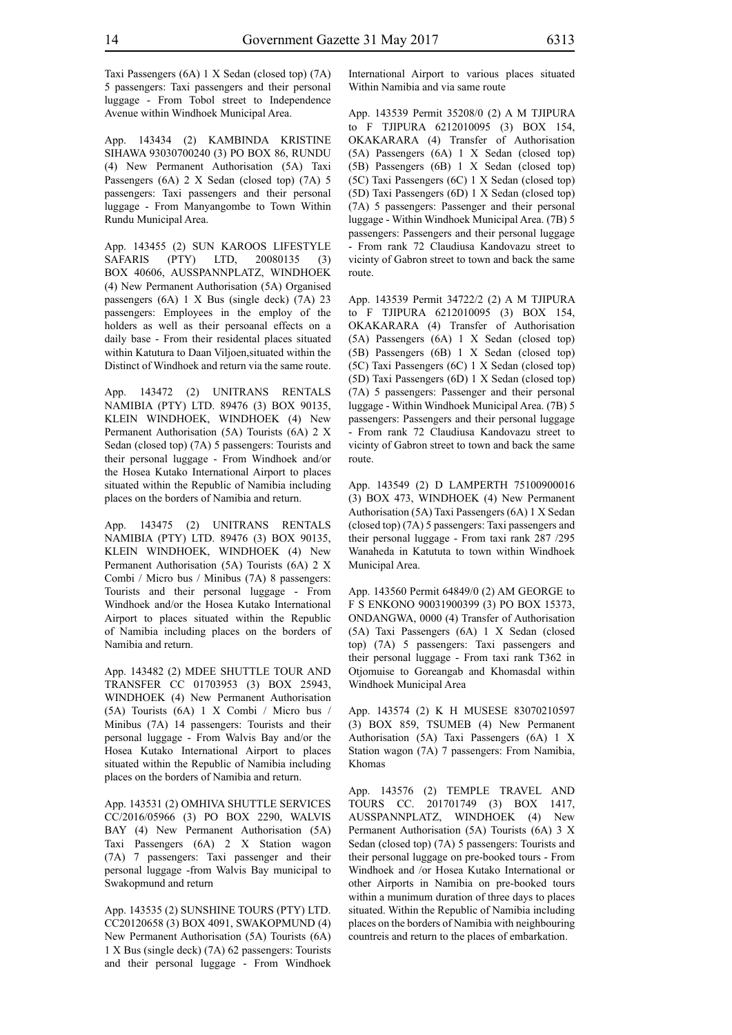Taxi Passengers (6A) 1 X Sedan (closed top) (7A) 5 passengers: Taxi passengers and their personal luggage - From Tobol street to Independence Avenue within Windhoek Municipal Area.

App. 143434 (2) KAMBINDA KRISTINE SIHAWA 93030700240 (3) PO BOX 86, RUNDU (4) New Permanent Authorisation (5A) Taxi Passengers (6A) 2 X Sedan (closed top) (7A) 5 passengers: Taxi passengers and their personal luggage - From Manyangombe to Town Within Rundu Municipal Area.

App. 143455 (2) SUN KAROOS LIFESTYLE SAFARIS (PTY) LTD, 20080135 (3) BOX 40606, AUSSPANNPLATZ, WINDHOEK (4) New Permanent Authorisation (5A) Organised passengers (6A) 1 X Bus (single deck) (7A) 23 passengers: Employees in the employ of the holders as well as their persoanal effects on a daily base - From their residental places situated within Katutura to Daan Viljoen,situated within the Distinct of Windhoek and return via the same route.

App. 143472 (2) UNITRANS RENTALS NAMIBIA (Pty) LTD. 89476 (3) BOX 90135, KLEIN WINDHOEK, WINDHOEK (4) New Permanent Authorisation (5A) Tourists (6A) 2 X Sedan (closed top) (7A) 5 passengers: Tourists and their personal luggage - From Windhoek and/or the Hosea Kutako International Airport to places situated within the Republic of Namibia including places on the borders of Namibia and return.

App. 143475 (2) UNITRANS RENTALS NAMIBIA (pty) LTD. 89476 (3) BOX 90135, KLEIN WINDHOEK, WINDHOEK (4) New Permanent Authorisation (5A) Tourists (6A) 2 X Combi / Micro bus / Minibus (7A) 8 passengers: Tourists and their personal luggage - From Windhoek and/or the Hosea Kutako International Airport to places situated within the Republic of Namibia including places on the borders of Namibia and return.

App. 143482 (2) MDEE SHUTTLE TOUR AND TRANSFER CC 01703953 (3) BOX 25943, WINDHOEK (4) New Permanent Authorisation (5A) Tourists (6A) 1 X Combi / Micro bus / Minibus (7A) 14 passengers: Tourists and their personal luggage - From Walvis Bay and/or the Hosea Kutako International Airport to places situated within the Republic of Namibia including places on the borders of Namibia and return.

App. 143531 (2) OMHIVA SHUTTLE SERVICES CC/2016/05966 (3) PO BOX 2290, WALVIS BAY (4) New Permanent Authorisation (5A) Taxi Passengers (6A) 2 X Station wagon (7A) 7 passengers: Taxi passenger and their personal luggage -from Walvis Bay municipal to Swakopmund and return

App. 143535 (2) SUNSHINE TOURS (PTY) LTD. CC20120658 (3) BOX 4091, SWAKOPMUND (4) New Permanent Authorisation (5A) Tourists (6A) 1 X Bus (single deck) (7A) 62 passengers: Tourists and their personal luggage - From Windhoek International Airport to various places situated Within Namibia and via same route

App. 143539 Permit 35208/0 (2) A M TJIPURA to F TJIPURA 6212010095 (3) BOX 154, OKAKARARA (4) Transfer of Authorisation (5A) Passengers (6A) 1 X Sedan (closed top) (5B) Passengers (6B) 1 X Sedan (closed top) (5C) Taxi Passengers (6C) 1 X Sedan (closed top) (5D) Taxi Passengers (6D) 1 X Sedan (closed top) (7A) 5 passengers: Passenger and their personal luggage - Within Windhoek Municipal Area. (7B) 5 passengers: Passengers and their personal luggage - From rank 72 Claudiusa Kandovazu street to vicinty of Gabron street to town and back the same route.

App. 143539 Permit 34722/2 (2) A M TJIPURA to F TJIPURA 6212010095 (3) BOX 154, OKAKARARA (4) Transfer of Authorisation (5A) Passengers (6A) 1 X Sedan (closed top) (5B) Passengers (6B) 1 X Sedan (closed top) (5C) Taxi Passengers (6C) 1 X Sedan (closed top) (5D) Taxi Passengers (6D) 1 X Sedan (closed top) (7A) 5 passengers: Passenger and their personal luggage - Within Windhoek Municipal Area. (7B) 5 passengers: Passengers and their personal luggage - From rank 72 Claudiusa Kandovazu street to vicinty of Gabron street to town and back the same route.

App. 143549 (2) D LAMPERTH 75100900016 (3) BOX 473, WINDHOEK (4) New Permanent Authorisation (5A) Taxi Passengers (6A) 1 X Sedan (closed top) (7A) 5 passengers: Taxi passengers and their personal luggage - From taxi rank 287 /295 Wanaheda in Katututa to town within Windhoek Municipal Area.

App. 143560 Permit 64849/0 (2) AM GEORGE to F S ENKONO 90031900399 (3) PO BOX 15373, ONDANGWA, 0000 (4) Transfer of Authorisation (5A) Taxi Passengers (6A) 1 X Sedan (closed top) (7A) 5 passengers: Taxi passengers and their personal luggage - From taxi rank T362 in Otjomuise to Goreangab and Khomasdal within Windhoek Municipal Area

App. 143574 (2) K H MUSESE 83070210597 (3) BOX 859, TSUMEB (4) New Permanent Authorisation (5A) Taxi Passengers (6A) 1 X Station wagon (7A) 7 passengers: From Namibia, Khomas

App. 143576 (2) TEMPLE TRAVEL AND TOURS CC. 201701749 (3) BOX 1417, AUSSPANNPLATZ, WINDHOEK (4) New Permanent Authorisation (5A) Tourists (6A) 3 X Sedan (closed top) (7A) 5 passengers: Tourists and their personal luggage on pre-booked tours - From Windhoek and /or Hosea Kutako International or other Airports in Namibia on pre-booked tours within a munimum duration of three days to places situated. Within the Republic of Namibia including places on the borders of Namibia with neighbouring countreis and return to the places of embarkation.